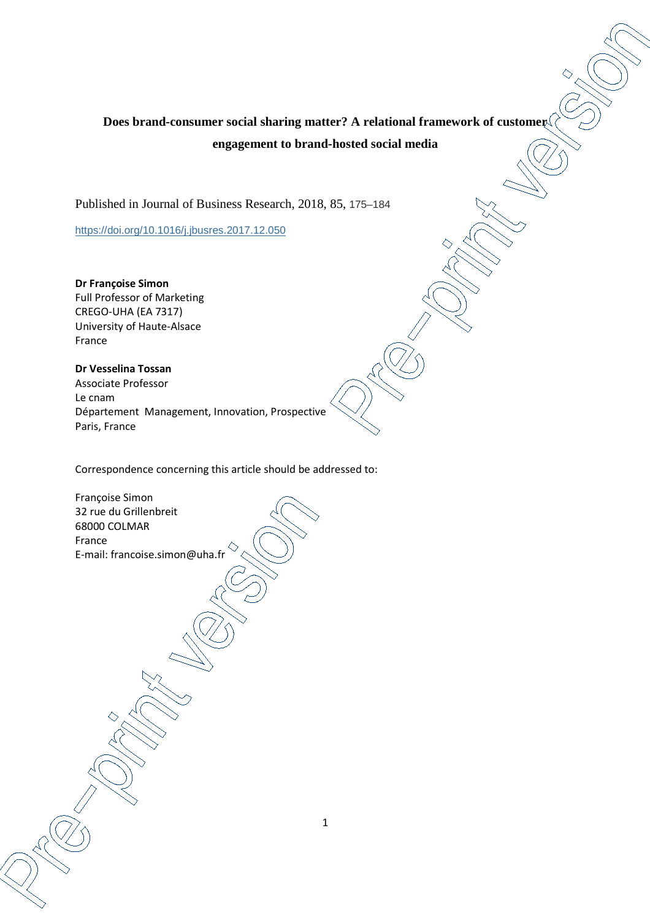# **Does brand-consumer social sharing matter? A relational framework of customer engagement to brand-hosted social media**

Published in Journal of Business Research, 2018, 85, 175–184

https://doi.org/10.1016/j.jbusres.2017.12.050

**Dr Françoise Simon**  Full Professor of Marketing CREGO-UHA (EA 7317) University of Haute-Alsace France

**Dr Vesselina Tossan**  Associate Professor Le cnam Département Management, Innovation, Prospective Paris, France

Correspondence concerning this article should be addressed to:

Françoise Simon 32 rue du Grillenbreit 68000 COLMAR France E-mail: francoise.simon@uha.fr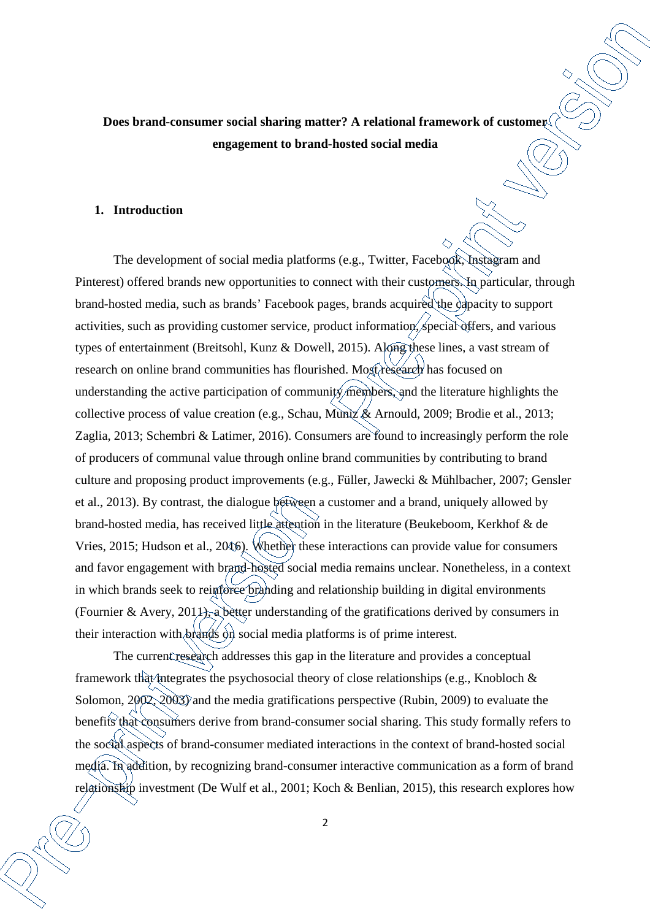**Does brand-consumer social sharing matter? A relational framework of customer engagement to brand-hosted social media** 

## **1. Introduction**

The development of social media platforms (e.g., Twitter, Facebook, Instagram and Pinterest) offered brands new opportunities to connect with their customers. In particular, through brand-hosted media, such as brands' Facebook pages, brands acquired the capacity to support activities, such as providing customer service, product information, special offers, and various types of entertainment (Breitsohl, Kunz & Dowell, 2015). Along these lines, a vast stream of research on online brand communities has flourished. Most research has focused on understanding the active participation of community members, and the literature highlights the collective process of value creation (e.g., Schau, Muniz & Arnould, 2009; Brodie et al., 2013; Zaglia, 2013; Schembri & Latimer, 2016). Consumers are found to increasingly perform the role of producers of communal value through online brand communities by contributing to brand culture and proposing product improvements (e.g., Füller, Jawecki & Mühlbacher, 2007; Gensler et al., 2013). By contrast, the dialogue between a customer and a brand, uniquely allowed by brand-hosted media, has received little attention in the literature (Beukeboom, Kerkhof & de Vries, 2015; Hudson et al., 2016). Whether these interactions can provide value for consumers and favor engagement with brand-hosted social media remains unclear. Nonetheless, in a context in which brands seek to reinforce branding and relationship building in digital environments (Fournier & Avery, 201 $\downarrow$ ), a better understanding of the gratifications derived by consumers in their interaction with brands on social media platforms is of prime interest.

The current research addresses this gap in the literature and provides a conceptual framework that integrates the psychosocial theory of close relationships (e.g., Knobloch  $\&$ Solomon, 2002, 2003) and the media gratifications perspective (Rubin, 2009) to evaluate the benefits that consumers derive from brand-consumer social sharing. This study formally refers to the social aspects of brand-consumer mediated interactions in the context of brand-hosted social media. In addition, by recognizing brand-consumer interactive communication as a form of brand relationship investment (De Wulf et al., 2001; Koch & Benlian, 2015), this research explores how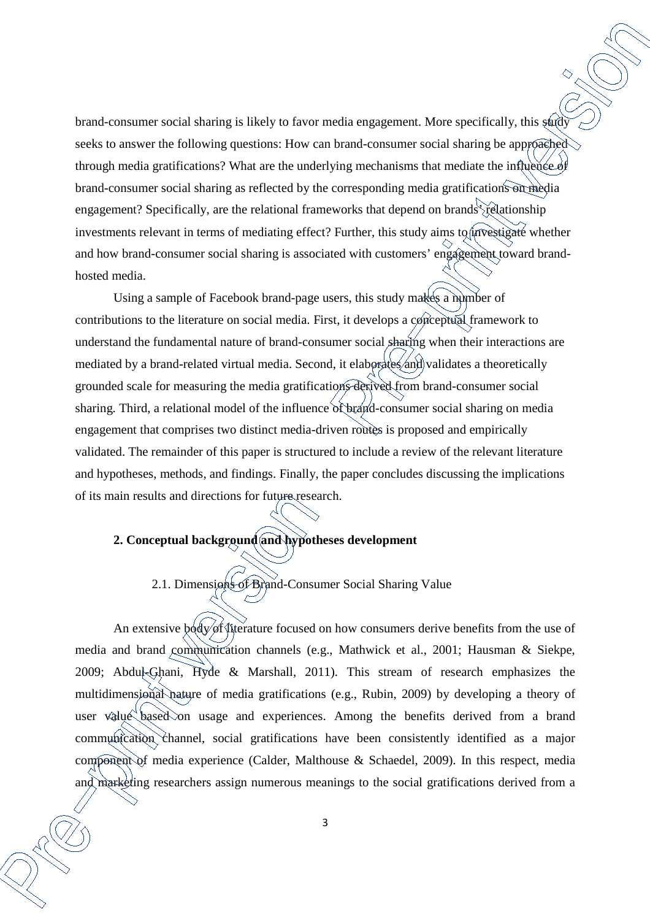brand-consumer social sharing is likely to favor media engagement. More specifically, this study seeks to answer the following questions: How can brand-consumer social sharing be approached through media gratifications? What are the underlying mechanisms that mediate the influence of brand-consumer social sharing as reflected by the corresponding media gratifications on media engagement? Specifically, are the relational frameworks that depend on brands relationship investments relevant in terms of mediating effect? Further, this study aims to *investigate* whether and how brand-consumer social sharing is associated with customers' engagement toward brandhosted media.

Using a sample of Facebook brand-page users, this study makes a number of contributions to the literature on social media. First, it develops a conceptual framework to understand the fundamental nature of brand-consumer social sharing when their interactions are mediated by a brand-related virtual media. Second, it elaborates and validates a theoretically grounded scale for measuring the media gratifications derived from brand-consumer social sharing. Third, a relational model of the influence of brand-consumer social sharing on media engagement that comprises two distinct media-driven routes is proposed and empirically validated. The remainder of this paper is structured to include a review of the relevant literature and hypotheses, methods, and findings. Finally, the paper concludes discussing the implications of its main results and directions for future research.

# **2. Conceptual background and hypotheses development**

# 2.1. Dimensions of Brand-Consumer Social Sharing Value

An extensive body of literature focused on how consumers derive benefits from the use of media and brand communication channels (e.g., Mathwick et al., 2001; Hausman & Siekpe, 2009; Abdul-Ghani, Hyde & Marshall, 2011). This stream of research emphasizes the multidimensional nature of media gratifications (e.g., Rubin, 2009) by developing a theory of user value based on usage and experiences. Among the benefits derived from a brand communication channel, social gratifications have been consistently identified as a major component of media experience (Calder, Malthouse & Schaedel, 2009). In this respect, media and marketing researchers assign numerous meanings to the social gratifications derived from a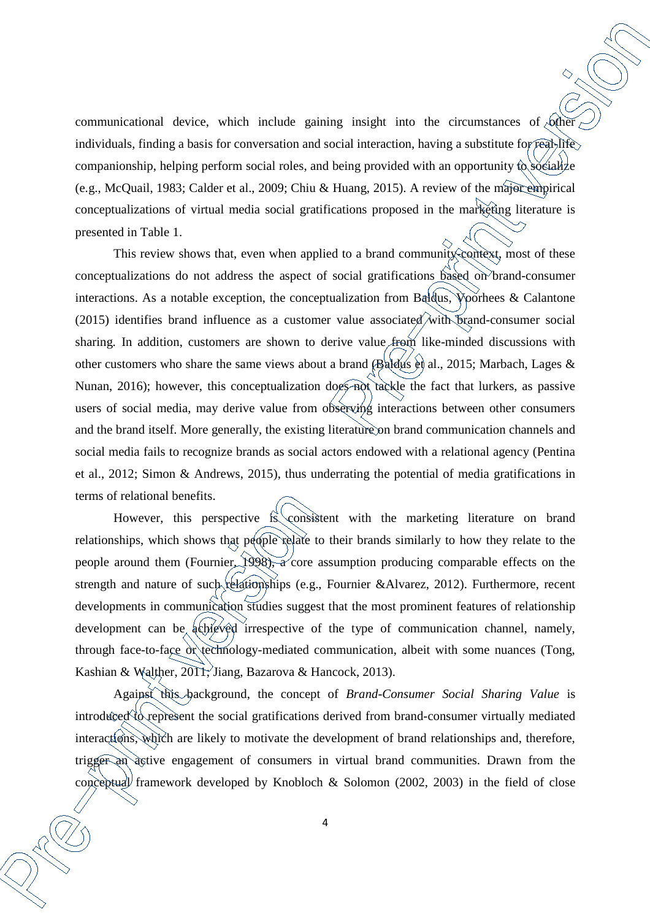communicational device, which include gaining insight into the circumstances of  $\phi$ ther individuals, finding a basis for conversation and social interaction, having a substitute for real-life companionship, helping perform social roles, and being provided with an opportunity  $\hat{\omega}$  socialize (e.g., McQuail, 1983; Calder et al., 2009; Chiu & Huang, 2015). A review of the major empirical conceptualizations of virtual media social gratifications proposed in the marketing literature is presented in Table 1.

This review shows that, even when applied to a brand community-context, most of these conceptualizations do not address the aspect of social gratifications based on brand-consumer interactions. As a notable exception, the conceptualization from Baldus, Voorhees & Calantone (2015) identifies brand influence as a customer value associated with brand-consumer social sharing. In addition, customers are shown to derive value from like-minded discussions with other customers who share the same views about a brand (Baldus et al., 2015; Marbach, Lages & Nunan, 2016); however, this conceptualization does not tackle the fact that lurkers, as passive users of social media, may derive value from observing interactions between other consumers and the brand itself. More generally, the existing literature on brand communication channels and social media fails to recognize brands as social actors endowed with a relational agency (Pentina et al., 2012; Simon & Andrews, 2015), thus underrating the potential of media gratifications in terms of relational benefits.

However, this perspective is consistent with the marketing literature on brand relationships, which shows that people relate to their brands similarly to how they relate to the people around them (Fournier, 1998), a core assumption producing comparable effects on the strength and nature of such relationships (e.g., Fournier &Alvarez, 2012). Furthermore, recent developments in communication studies suggest that the most prominent features of relationship development can be achieved irrespective of the type of communication channel, namely, through face-to-face or technology-mediated communication, albeit with some nuances (Tong, Kashian & Walther, 2011; Jiang, Bazarova & Hancock, 2013).

Against this background, the concept of *Brand-Consumer Social Sharing Value* is introduced to represent the social gratifications derived from brand-consumer virtually mediated interactions, which are likely to motivate the development of brand relationships and, therefore, trigger an active engagement of consumers in virtual brand communities. Drawn from the conceptual framework developed by Knobloch & Solomon (2002, 2003) in the field of close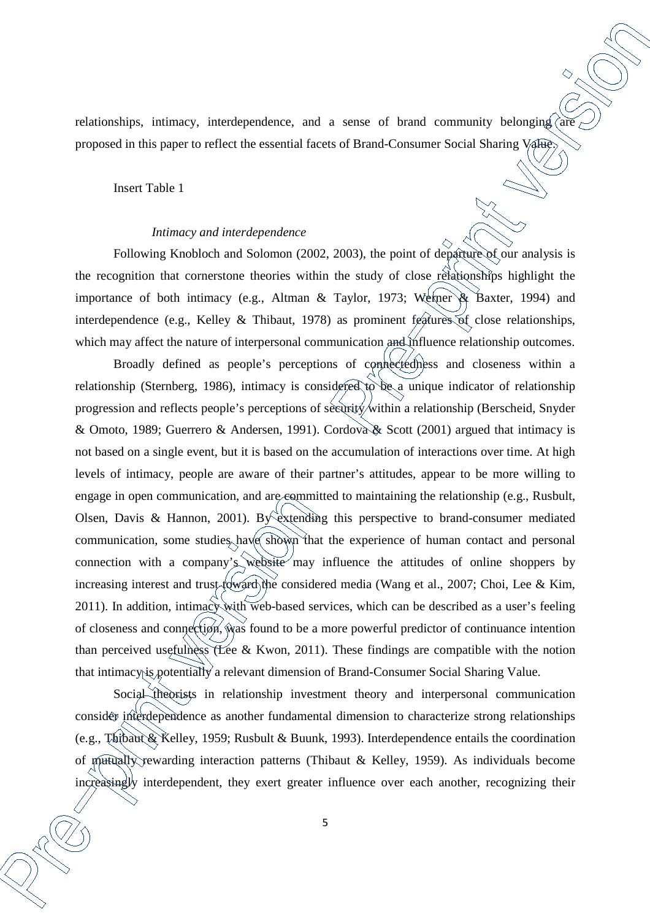relationships, intimacy, interdependence, and a sense of brand community belonging  $\hat{a}$ proposed in this paper to reflect the essential facets of Brand-Consumer Social Sharing Value.

Insert Table 1

#### *Intimacy and interdependence*

Following Knobloch and Solomon (2002, 2003), the point of departure of our analysis is the recognition that cornerstone theories within the study of close relationships highlight the importance of both intimacy (e.g., Altman & Taylor, 1973; Werner & Baxter, 1994) and interdependence (e.g., Kelley & Thibaut, 1978) as prominent features of close relationships, which may affect the nature of interpersonal communication and influence relationship outcomes.

Broadly defined as people's perceptions of connectedness and closeness within a relationship (Sternberg, 1986), intimacy is considered to be a unique indicator of relationship progression and reflects people's perceptions of security within a relationship (Berscheid, Snyder & Omoto, 1989; Guerrero & Andersen, 1991). Cordova & Scott (2001) argued that intimacy is not based on a single event, but it is based on the accumulation of interactions over time. At high levels of intimacy, people are aware of their partner's attitudes, appear to be more willing to engage in open communication, and are committed to maintaining the relationship (e.g., Rusbult, Olsen, Davis & Hannon, 2001). By extending this perspective to brand-consumer mediated communication, some studies have shown that the experience of human contact and personal connection with a company's website may influence the attitudes of online shoppers by increasing interest and trust toward the considered media (Wang et al., 2007; Choi, Lee & Kim, 2011). In addition, intimacy with web-based services, which can be described as a user's feeling of closeness and connection, was found to be a more powerful predictor of continuance intention than perceived usefulness (Lee & Kwon, 2011). These findings are compatible with the notion that intimacy is potentially a relevant dimension of Brand-Consumer Social Sharing Value.

Social theorists in relationship investment theory and interpersonal communication consider interdependence as another fundamental dimension to characterize strong relationships (e.g., Thibaut & Kelley, 1959; Rusbult & Buunk, 1993). Interdependence entails the coordination of mutually rewarding interaction patterns (Thibaut & Kelley, 1959). As individuals become increasingly interdependent, they exert greater influence over each another, recognizing their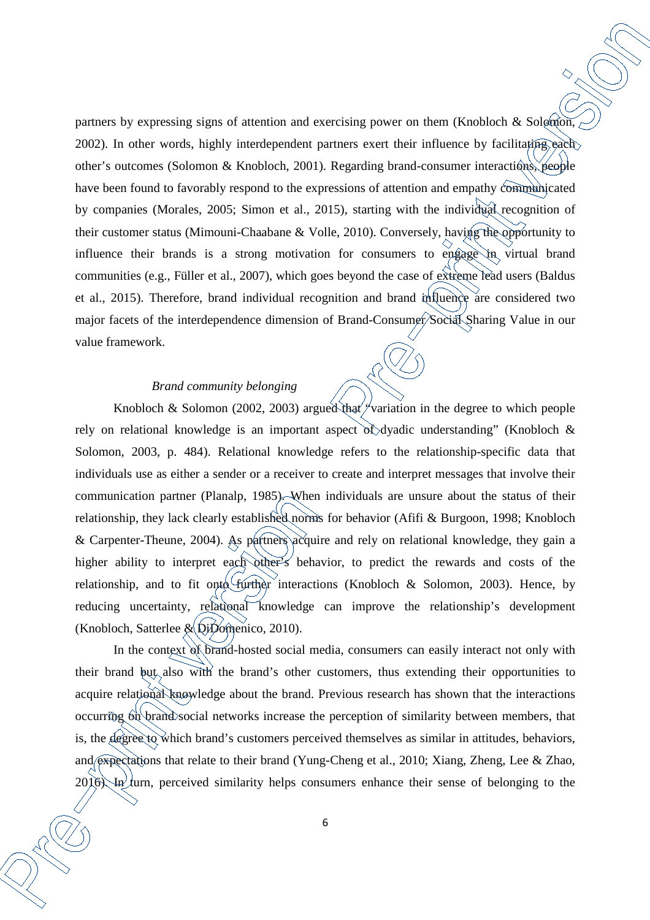partners by expressing signs of attention and exercising power on them (Knobloch & Solomon, 2002). In other words, highly interdependent partners exert their influence by facilitating each other's outcomes (Solomon & Knobloch, 2001). Regarding brand-consumer interactions, people have been found to favorably respond to the expressions of attention and empathy communicated by companies (Morales, 2005; Simon et al., 2015), starting with the individual recognition of their customer status (Mimouni-Chaabane & Volle, 2010). Conversely, having the opportunity to influence their brands is a strong motivation for consumers to engage in virtual brand communities (e.g., Füller et al., 2007), which goes beyond the case of extreme lead users (Baldus et al., 2015). Therefore, brand individual recognition and brand influence are considered two major facets of the interdependence dimension of Brand-Consumer/Social Sharing Value in our value framework.

## *Brand community belonging*

Knobloch & Solomon (2002, 2003) argued that  $\gamma$  variation in the degree to which people rely on relational knowledge is an important aspect of dyadic understanding" (Knobloch & Solomon, 2003, p. 484). Relational knowledge refers to the relationship-specific data that individuals use as either a sender or a receiver to create and interpret messages that involve their communication partner (Planalp, 1985). When individuals are unsure about the status of their relationship, they lack clearly established norms for behavior (Afifi & Burgoon, 1998; Knobloch & Carpenter-Theune, 2004). As partners acquire and rely on relational knowledge, they gain a higher ability to interpret each other's behavior, to predict the rewards and costs of the relationship, and to fit onto further interactions (Knobloch & Solomon, 2003). Hence, by reducing uncertainty, relational knowledge can improve the relationship's development (Knobloch, Satterlee  $\&$  DiDomenico, 2010).

In the context of brand-hosted social media, consumers can easily interact not only with their brand but also with the brand's other customers, thus extending their opportunities to acquire relational knowledge about the brand. Previous research has shown that the interactions occurring on brand social networks increase the perception of similarity between members, that is, the degree to which brand's customers perceived themselves as similar in attitudes, behaviors, and expectations that relate to their brand (Yung-Cheng et al., 2010; Xiang, Zheng, Lee & Zhao,  $2016$ ). In turn, perceived similarity helps consumers enhance their sense of belonging to the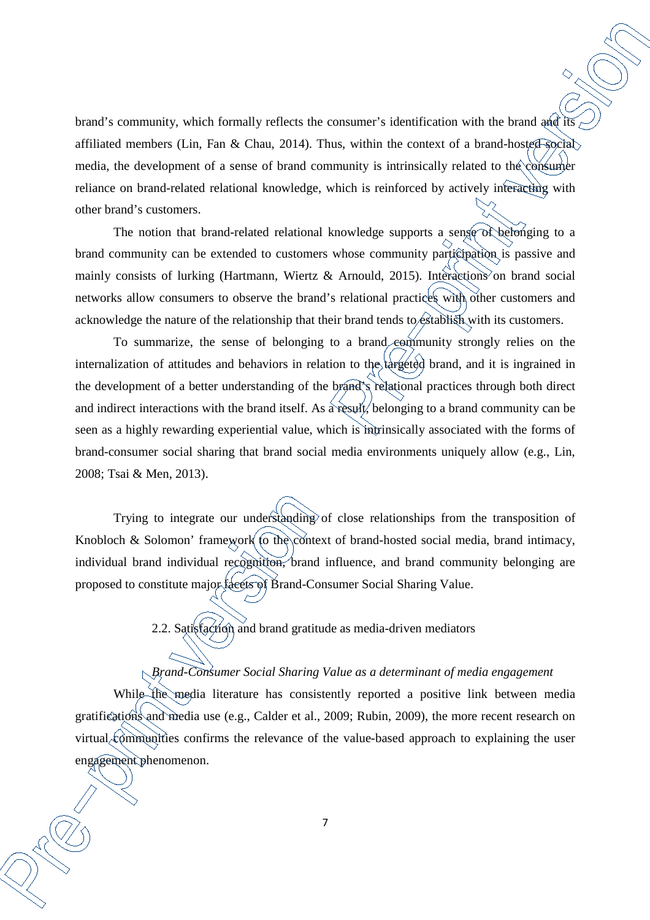brand's community, which formally reflects the consumer's identification with the brand and its affiliated members (Lin, Fan & Chau, 2014). Thus, within the context of a brand-hosted social media, the development of a sense of brand community is intrinsically related to the consumer reliance on brand-related relational knowledge, which is reinforced by actively interacting with other brand's customers.

The notion that brand-related relational knowledge supports a sense of belonging to a brand community can be extended to customers whose community participation is passive and mainly consists of lurking (Hartmann, Wiertz & Arnould, 2015). Interactions on brand social networks allow consumers to observe the brand's relational practices with other customers and acknowledge the nature of the relationship that their brand tends to establish with its customers.

To summarize, the sense of belonging to a brand community strongly relies on the internalization of attitudes and behaviors in relation to the targeted brand, and it is ingrained in the development of a better understanding of the brand's relational practices through both direct and indirect interactions with the brand itself. As a result, belonging to a brand community can be seen as a highly rewarding experiential value, which is intrinsically associated with the forms of brand-consumer social sharing that brand social media environments uniquely allow (e.g., Lin, 2008; Tsai & Men, 2013).

Trying to integrate our understanding of close relationships from the transposition of Knobloch & Solomon' framework to the context of brand-hosted social media, brand intimacy, individual brand individual recognition, brand influence, and brand community belonging are proposed to constitute major facets of Brand-Consumer Social Sharing Value.

2.2. Satisfaction and brand gratitude as media-driven mediators

## *Brand-Consumer Social Sharing Value as a determinant of media engagement*

While the media literature has consistently reported a positive link between media gratifications and media use (e.g., Calder et al., 2009; Rubin, 2009), the more recent research on virtual communities confirms the relevance of the value-based approach to explaining the user engagement phenomenon.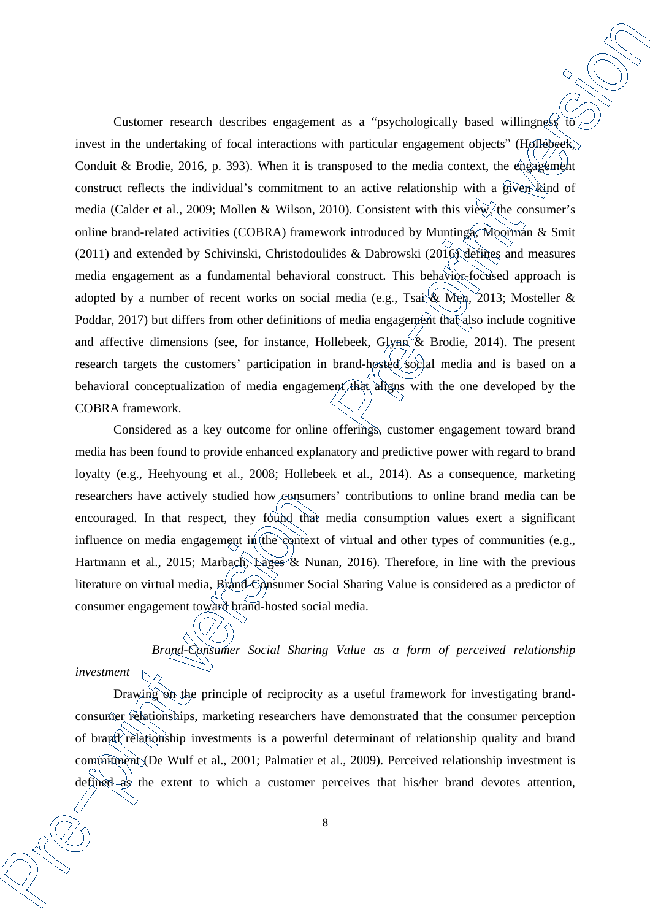Customer research describes engagement as a "psychologically based willingness" invest in the undertaking of focal interactions with particular engagement objects" (Hollebeek, Conduit & Brodie, 2016, p. 393). When it is transposed to the media context, the engagement construct reflects the individual's commitment to an active relationship with a given kind of media (Calder et al., 2009; Mollen & Wilson, 2010). Consistent with this view, the consumer's online brand-related activities (COBRA) framework introduced by Muntinga, Moorman & Smit (2011) and extended by Schivinski, Christodoulides & Dabrowski (2016) defines and measures media engagement as a fundamental behavioral construct. This behavior-focused approach is adopted by a number of recent works on social media (e.g., Tsai & Men, 2013; Mosteller & Poddar, 2017) but differs from other definitions of media engagement that also include cognitive and affective dimensions (see, for instance, Hollebeek, Glynn  $\&$  Brodie, 2014). The present research targets the customers' participation in brand-hosted social media and is based on a behavioral conceptualization of media engagement that aligns with the one developed by the COBRA framework.

Considered as a key outcome for online offerings, customer engagement toward brand media has been found to provide enhanced explanatory and predictive power with regard to brand loyalty (e.g., Heehyoung et al., 2008; Hollebeek et al., 2014). As a consequence, marketing researchers have actively studied how consumers' contributions to online brand media can be encouraged. In that respect, they found that media consumption values exert a significant influence on media engagement in the context of virtual and other types of communities (e.g., Hartmann et al., 2015; Marbach, Lages & Nunan, 2016). Therefore, in line with the previous literature on virtual media, Brand-Consumer Social Sharing Value is considered as a predictor of consumer engagement toward brand-hosted social media.

*Brand-Consumer Social Sharing Value as a form of perceived relationship* 

*investment* 

Drawing on the principle of reciprocity as a useful framework for investigating brandconsumer relationships, marketing researchers have demonstrated that the consumer perception of brand relationship investments is a powerful determinant of relationship quality and brand commitment (De Wulf et al., 2001; Palmatier et al., 2009). Perceived relationship investment is defined as the extent to which a customer perceives that his/her brand devotes attention,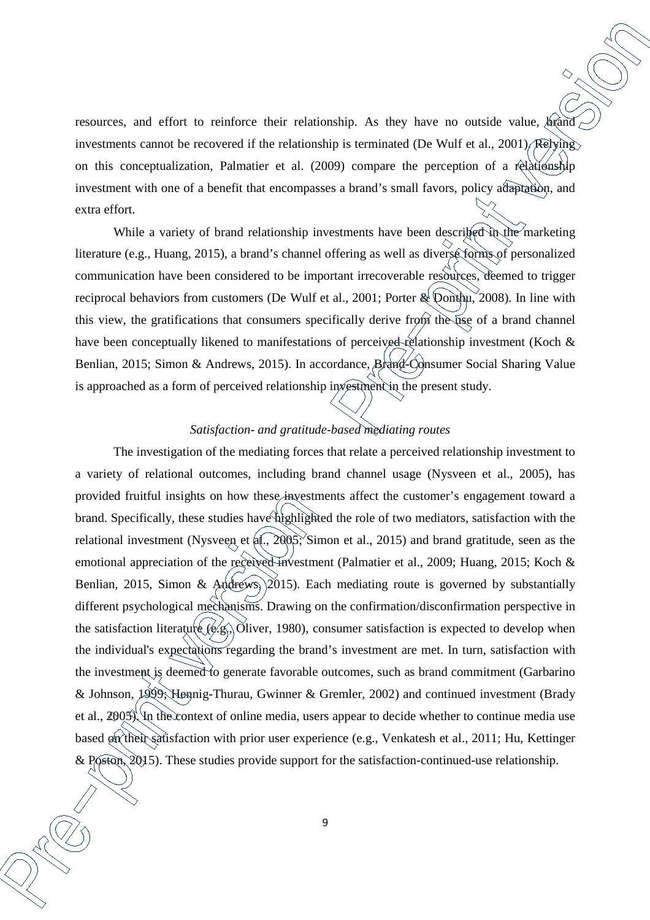resources, and effort to reinforce their relationship. As they have no outside value, brand investments cannot be recovered if the relationship is terminated (De Wulf et al., 2001). Relying on this conceptualization, Palmatier et al. (2009) compare the perception of a relationship investment with one of a benefit that encompasses a brand's small favors, policy adaptation, and extra effort.

While a variety of brand relationship investments have been described in the marketing literature (e.g., Huang, 2015), a brand's channel offering as well as diverse forms of personalized communication have been considered to be important irrecoverable resources, deemed to trigger reciprocal behaviors from customers (De Wulf et al., 2001; Porter & Donthu, 2008). In line with this view, the gratifications that consumers specifically derive from the use of a brand channel have been conceptually likened to manifestations of perceived relationship investment (Koch & Benlian, 2015; Simon & Andrews, 2015). In accordance, Brand-Consumer Social Sharing Value is approached as a form of perceived relationship investment in the present study.

### *Satisfaction- and gratitude-based mediating routes*

The investigation of the mediating forces that relate a perceived relationship investment to a variety of relational outcomes, including brand channel usage (Nysveen et al., 2005), has provided fruitful insights on how these investments affect the customer's engagement toward a brand. Specifically, these studies have highlighted the role of two mediators, satisfaction with the relational investment (Nysveen et al., 2005; Simon et al., 2015) and brand gratitude, seen as the emotional appreciation of the received investment (Palmatier et al., 2009; Huang, 2015; Koch & Benlian, 2015, Simon & Andrews,  $(2015)$ . Each mediating route is governed by substantially different psychological mechanisms. Drawing on the confirmation/disconfirmation perspective in the satisfaction literature  $(e.g., O$ liver, 1980), consumer satisfaction is expected to develop when the individual's expectations regarding the brand's investment are met. In turn, satisfaction with the investment is deemed to generate favorable outcomes, such as brand commitment (Garbarino & Johnson, 1999; Hennig-Thurau, Gwinner & Gremler, 2002) and continued investment (Brady et al., 2005). In the context of online media, users appear to decide whether to continue media use based on their satisfaction with prior user experience (e.g., Venkatesh et al., 2011; Hu, Kettinger & Poston, 2015). These studies provide support for the satisfaction-continued-use relationship.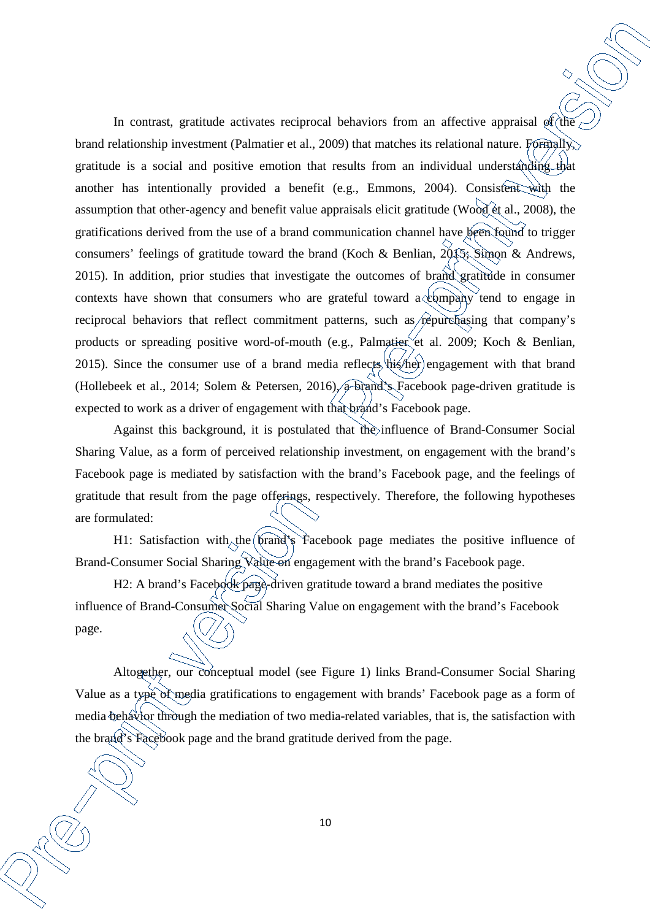In contrast, gratitude activates reciprocal behaviors from an affective appraisal  $\mathfrak{g}(\hat{t})$ brand relationship investment (Palmatier et al., 2009) that matches its relational nature. Formally, gratitude is a social and positive emotion that results from an individual understanding that another has intentionally provided a benefit (e.g., Emmons, 2004). Consistent with the assumption that other-agency and benefit value appraisals elicit gratitude (Wood et al., 2008), the gratifications derived from the use of a brand communication channel have been found to trigger consumers' feelings of gratitude toward the brand (Koch & Benlian, 2015; Simon & Andrews, 2015). In addition, prior studies that investigate the outcomes of brand gratitude in consumer contexts have shown that consumers who are grateful toward  $a \& \text{empty}$  tend to engage in reciprocal behaviors that reflect commitment patterns, such as repurchasing that company's products or spreading positive word-of-mouth (e.g., Palmatier et al. 2009; Koch & Benlian, 2015). Since the consumer use of a brand media reflects  $\hat{\theta}$  his/her engagement with that brand (Hollebeek et al., 2014; Solem & Petersen, 2016), a brand's Facebook page-driven gratitude is expected to work as a driver of engagement with that brand's Facebook page.

Against this background, it is postulated that the influence of Brand-Consumer Social Sharing Value, as a form of perceived relationship investment, on engagement with the brand's Facebook page is mediated by satisfaction with the brand's Facebook page, and the feelings of gratitude that result from the page offerings, respectively. Therefore, the following hypotheses are formulated:

H1: Satisfaction with the brand's Facebook page mediates the positive influence of Brand-Consumer Social Sharing Value on engagement with the brand's Facebook page.

H2: A brand's Facebook page-driven gratitude toward a brand mediates the positive influence of Brand-Consumer Social Sharing Value on engagement with the brand's Facebook page.

Altogether, our conceptual model (see Figure 1) links Brand-Consumer Social Sharing Value as a type of media gratifications to engagement with brands' Facebook page as a form of media behavior through the mediation of two media-related variables, that is, the satisfaction with the brand's Facebook page and the brand gratitude derived from the page.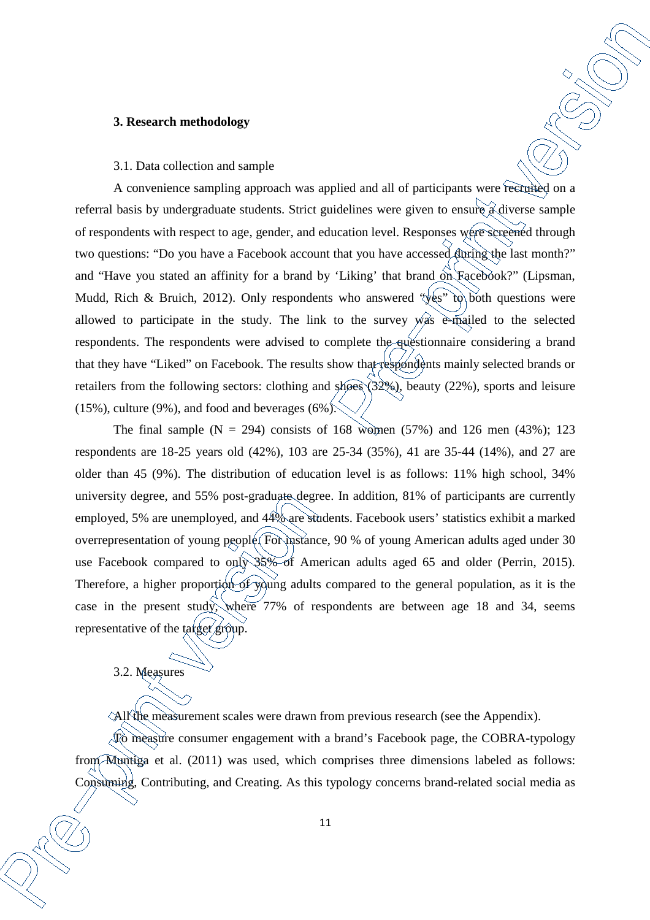#### **3. Research methodology**

### 3.1. Data collection and sample

A convenience sampling approach was applied and all of participants were recruited on a referral basis by undergraduate students. Strict guidelines were given to ensure a diverse sample of respondents with respect to age, gender, and education level. Responses were screened through two questions: "Do you have a Facebook account that you have accessed during the last month?" and "Have you stated an affinity for a brand by 'Liking' that brand on Facebook?" (Lipsman, Mudd, Rich & Bruich, 2012). Only respondents who answered "yes" to both questions were allowed to participate in the study. The link to the survey was e-mailed to the selected respondents. The respondents were advised to complete the questionnaire considering a brand that they have "Liked" on Facebook. The results show that respondents mainly selected brands or retailers from the following sectors: clothing and shoes (32%), beauty (22%), sports and leisure  $(15\%)$ , culture (9%), and food and beverages (6%).

The final sample  $(N = 294)$  consists of 168 women (57%) and 126 men (43%); 123 respondents are 18-25 years old (42%), 103 are 25-34 (35%), 41 are 35-44 (14%), and 27 are older than 45 (9%). The distribution of education level is as follows: 11% high school, 34% university degree, and 55% post-graduate degree. In addition, 81% of participants are currently employed, 5% are unemployed, and 44% are students. Facebook users' statistics exhibit a marked overrepresentation of young people. For instance, 90 % of young American adults aged under 30 use Facebook compared to only 35% of American adults aged 65 and older (Perrin, 2015). Therefore, a higher proportion of young adults compared to the general population, as it is the case in the present study, where 77% of respondents are between age 18 and 34, seems representative of the target group.

3.2. Measures

All the measurement scales were drawn from previous research (see the Appendix).

 $\sqrt{10}$  measure consumer engagement with a brand's Facebook page, the COBRA-typology from Muntiga et al. (2011) was used, which comprises three dimensions labeled as follows: Consuming, Contributing, and Creating. As this typology concerns brand-related social media as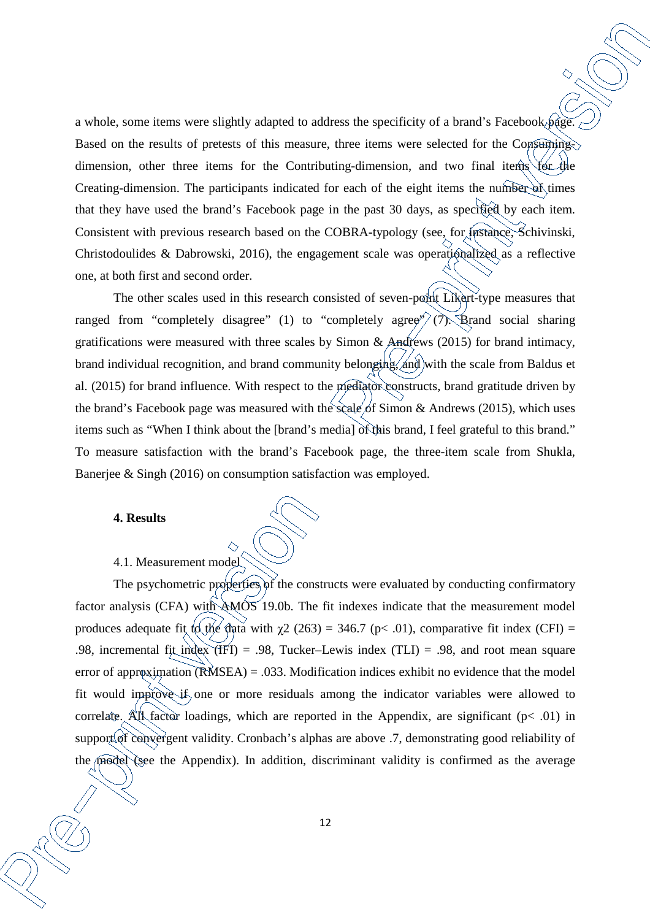a whole, some items were slightly adapted to address the specificity of a brand's Facebook page. Based on the results of pretests of this measure, three items were selected for the Consumingdimension, other three items for the Contributing-dimension, and two final items for the Creating-dimension. The participants indicated for each of the eight items the number of times that they have used the brand's Facebook page in the past 30 days, as specified by each item. Consistent with previous research based on the COBRA-typology (see, for instance, Schivinski, Christodoulides & Dabrowski, 2016), the engagement scale was operationalized as a reflective one, at both first and second order.

The other scales used in this research consisted of seven-point Likert-type measures that ranged from "completely disagree" (1) to "completely agree"  $(7)$ . Brand social sharing gratifications were measured with three scales by Simon & Andrews (2015) for brand intimacy, brand individual recognition, and brand community belonging, and with the scale from Baldus et al. (2015) for brand influence. With respect to the mediator constructs, brand gratitude driven by the brand's Facebook page was measured with the scale of Simon & Andrews (2015), which uses items such as "When I think about the [brand's media] of this brand, I feel grateful to this brand." To measure satisfaction with the brand's Facebook page, the three-item scale from Shukla, Banerjee & Singh (2016) on consumption satisfaction was employed.

### **4. Results**

# 4.1. Measurement model

The psychometric properties of the constructs were evaluated by conducting confirmatory factor analysis (CFA) with AMOS 19.0b. The fit indexes indicate that the measurement model produces adequate fit to the data with  $\chi$ 2 (263) = 346.7 (p< .01), comparative fit index (CFI) = .98, incremental fit index (IFI) = .98, Tucker–Lewis index (TLI) = .98, and root mean square error of approximation (RMSEA) = .033. Modification indices exhibit no evidence that the model fit would improve if one or more residuals among the indicator variables were allowed to correlate. All factor loadings, which are reported in the Appendix, are significant ( $p < .01$ ) in support of convergent validity. Cronbach's alphas are above .7, demonstrating good reliability of the model (see the Appendix). In addition, discriminant validity is confirmed as the average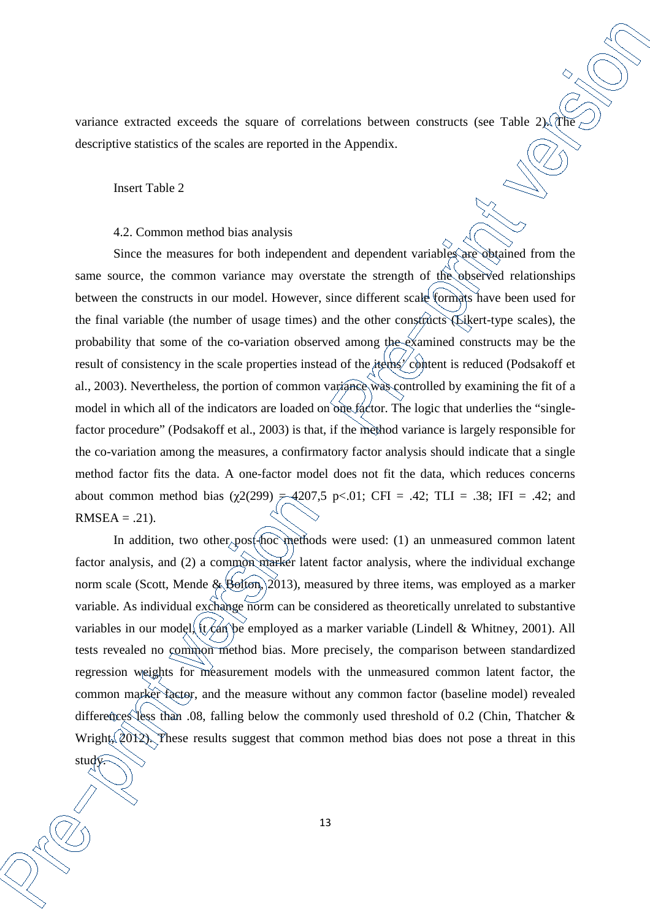variance extracted exceeds the square of correlations between constructs (see Table 2). The descriptive statistics of the scales are reported in the Appendix.

Insert Table 2

study.

#### 4.2. Common method bias analysis

Since the measures for both independent and dependent variables are obtained from the same source, the common variance may overstate the strength of the observed relationships between the constructs in our model. However, since different scale formats have been used for the final variable (the number of usage times) and the other constructs (Likert-type scales), the probability that some of the co-variation observed among the examined constructs may be the result of consistency in the scale properties instead of the items  $\cos^2$  content is reduced (Podsakoff et al., 2003). Nevertheless, the portion of common variance was controlled by examining the fit of a model in which all of the indicators are loaded on one factor. The logic that underlies the "singlefactor procedure" (Podsakoff et al., 2003) is that, if the method variance is largely responsible for the co-variation among the measures, a confirmatory factor analysis should indicate that a single method factor fits the data. A one-factor model does not fit the data, which reduces concerns about common method bias  $(\chi^2(299) \neq 4207.5 \text{ p} < 0.01$ ; CFI = .42; TLI = .38; IFI = .42; and  $RMSEA = .21$ .

In addition, two other post-hoc methods were used: (1) an unmeasured common latent factor analysis, and (2) a common marker latent factor analysis, where the individual exchange norm scale (Scott, Mende & Bolton,  $\geq 013$ ), measured by three items, was employed as a marker variable. As individual exchange norm can be considered as theoretically unrelated to substantive variables in our model, it can be employed as a marker variable (Lindell & Whitney, 2001). All tests revealed no common method bias. More precisely, the comparison between standardized regression weights for measurement models with the unmeasured common latent factor, the common marker factor, and the measure without any common factor (baseline model) revealed differences less than .08, falling below the commonly used threshold of 0.2 (Chin, Thatcher  $\&$ Wright,  $2012$ . These results suggest that common method bias does not pose a threat in this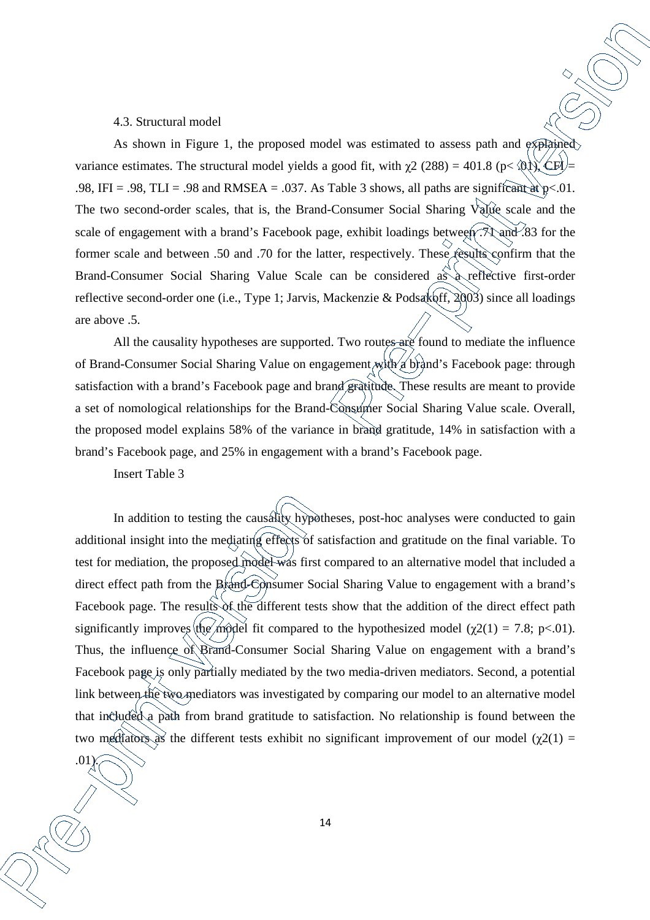#### 4.3. Structural model

As shown in Figure 1, the proposed model was estimated to assess path and explained variance estimates. The structural model yields a good fit, with  $\gamma$ 2 (288) = 401.8 (p< .01), CFI .98, IFI = .98, TLI = .98 and RMSEA = .037. As Table 3 shows, all paths are significant at  $p < 01$ . The two second-order scales, that is, the Brand-Consumer Social Sharing Value scale and the scale of engagement with a brand's Facebook page, exhibit loadings between  $\mathcal{R}$  and  $\mathcal{R}$  for the former scale and between .50 and .70 for the latter, respectively. These results confirm that the Brand-Consumer Social Sharing Value Scale can be considered as a reflective first-order reflective second-order one (i.e., Type 1; Jarvis, Mackenzie & Podsakoff, 2003) since all loadings are above .5.

All the causality hypotheses are supported. Two routes are found to mediate the influence of Brand-Consumer Social Sharing Value on engagement with a brand's Facebook page: through satisfaction with a brand's Facebook page and brand gratitude. These results are meant to provide a set of nomological relationships for the Brand-Consumer Social Sharing Value scale. Overall, the proposed model explains 58% of the variance in brand gratitude, 14% in satisfaction with a brand's Facebook page, and 25% in engagement with a brand's Facebook page.

Insert Table 3

.01).

In addition to testing the causality hypotheses, post-hoc analyses were conducted to gain additional insight into the mediating effects of satisfaction and gratitude on the final variable. To test for mediation, the proposed model was first compared to an alternative model that included a direct effect path from the Brand-Consumer Social Sharing Value to engagement with a brand's Facebook page. The results of the different tests show that the addition of the direct effect path significantly improves the model fit compared to the hypothesized model ( $\chi$ 2(1) = 7.8; p<.01). Thus, the influence of Brand-Consumer Social Sharing Value on engagement with a brand's Facebook page is only partially mediated by the two media-driven mediators. Second, a potential link between the two mediators was investigated by comparing our model to an alternative model that included a path from brand gratitude to satisfaction. No relationship is found between the two mediators as the different tests exhibit no significant improvement of our model ( $\chi$ 2(1) =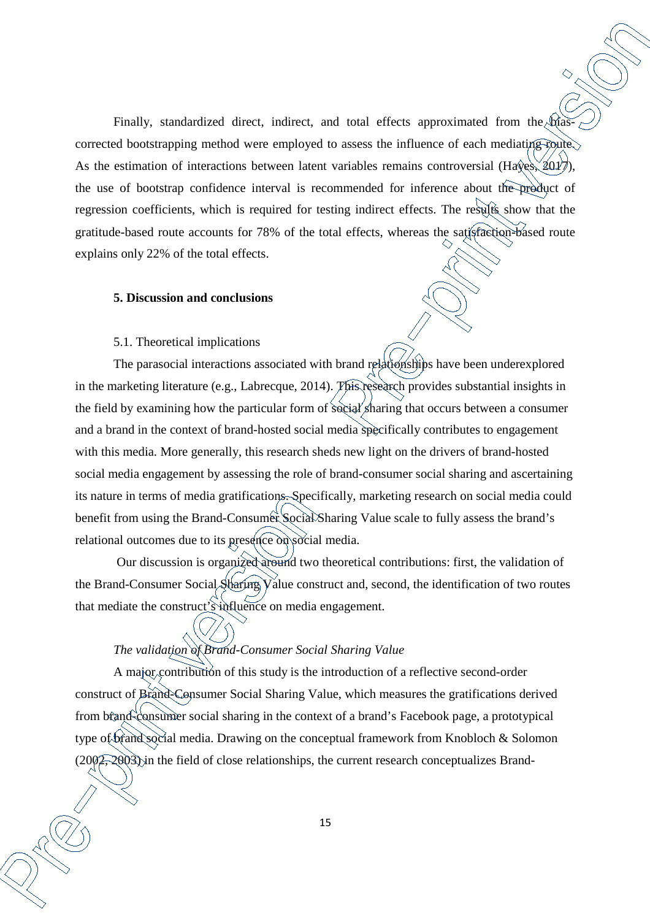Finally, standardized direct, indirect, and total effects approximated from the biascorrected bootstrapping method were employed to assess the influence of each mediating route. As the estimation of interactions between latent variables remains controversial (Hayes,  $2017$ ), the use of bootstrap confidence interval is recommended for inference about the product of regression coefficients, which is required for testing indirect effects. The results show that the gratitude-based route accounts for 78% of the total effects, whereas the satisfaction-based route explains only 22% of the total effects.

#### **5. Discussion and conclusions**

### 5.1. Theoretical implications

The parasocial interactions associated with brand relationships have been underexplored in the marketing literature (e.g., Labrecque, 2014). This research provides substantial insights in the field by examining how the particular form of social sharing that occurs between a consumer and a brand in the context of brand-hosted social media specifically contributes to engagement with this media. More generally, this research sheds new light on the drivers of brand-hosted social media engagement by assessing the role of brand-consumer social sharing and ascertaining its nature in terms of media gratifications. Specifically, marketing research on social media could benefit from using the Brand-Consumer Social Sharing Value scale to fully assess the brand's relational outcomes due to its presence on social media.

 Our discussion is organized around two theoretical contributions: first, the validation of the Brand-Consumer Social Sharing Value construct and, second, the identification of two routes that mediate the construct's influence on media engagement.

# *The validation of Brand-Consumer Social Sharing Value*

A major contribution of this study is the introduction of a reflective second-order construct of Brand-Consumer Social Sharing Value, which measures the gratifications derived from brand-consumer social sharing in the context of a brand's Facebook page, a prototypical type of brand social media. Drawing on the conceptual framework from Knobloch & Solomon (2002, 2003) in the field of close relationships, the current research conceptualizes Brand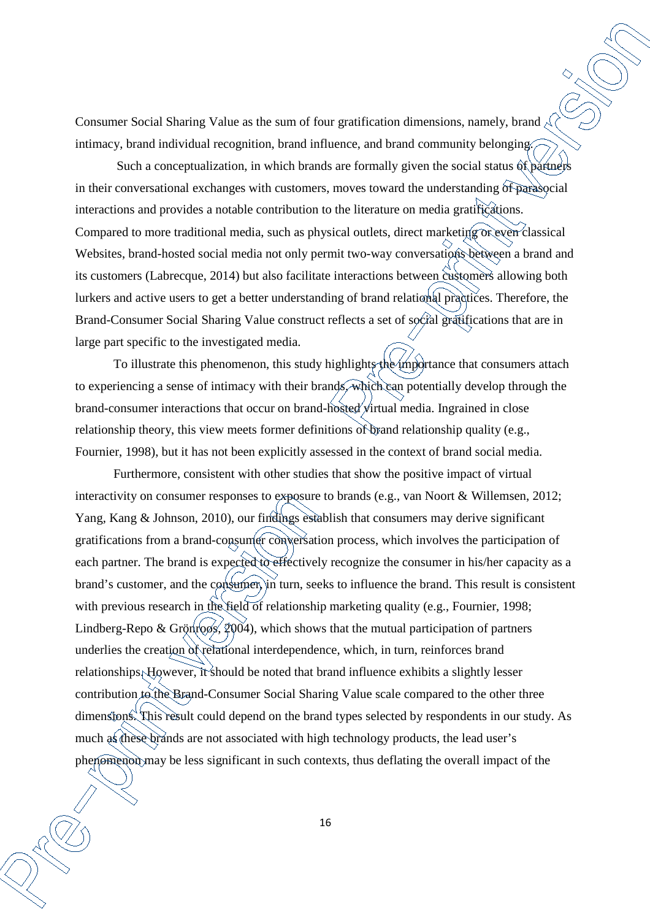Consumer Social Sharing Value as the sum of four gratification dimensions, namely, brand  $\sim$ intimacy, brand individual recognition, brand influence, and brand community belonging.

Such a conceptualization, in which brands are formally given the social status  $\hat{\alpha}$  partners in their conversational exchanges with customers, moves toward the understanding of parasocial interactions and provides a notable contribution to the literature on media gratifications. Compared to more traditional media, such as physical outlets, direct marketing or even classical Websites, brand-hosted social media not only permit two-way conversations between a brand and its customers (Labrecque, 2014) but also facilitate interactions between customers allowing both lurkers and active users to get a better understanding of brand relational practices. Therefore, the Brand-Consumer Social Sharing Value construct reflects a set of social gratifications that are in large part specific to the investigated media.

To illustrate this phenomenon, this study highlights the importance that consumers attach to experiencing a sense of intimacy with their brands, which can potentially develop through the brand-consumer interactions that occur on brand-hosted virtual media. Ingrained in close relationship theory, this view meets former definitions of brand relationship quality (e.g., Fournier, 1998), but it has not been explicitly assessed in the context of brand social media.

Furthermore, consistent with other studies that show the positive impact of virtual interactivity on consumer responses to exposure to brands (e.g., van Noort & Willemsen, 2012; Yang, Kang & Johnson, 2010), our findings establish that consumers may derive significant gratifications from a brand-consumer conversation process, which involves the participation of each partner. The brand is expected to effectively recognize the consumer in his/her capacity as a brand's customer, and the consumer, in turn, seeks to influence the brand. This result is consistent with previous research in the field of relationship marketing quality (e.g., Fournier, 1998; Lindberg-Repo & Grönross,  $2004$ ), which shows that the mutual participation of partners underlies the creation of relational interdependence, which, in turn, reinforces brand relationships. However, it should be noted that brand influence exhibits a slightly lesser contribution to the Brand-Consumer Social Sharing Value scale compared to the other three dimensions. This result could depend on the brand types selected by respondents in our study. As much as these brands are not associated with high technology products, the lead user's phenomenon may be less significant in such contexts, thus deflating the overall impact of the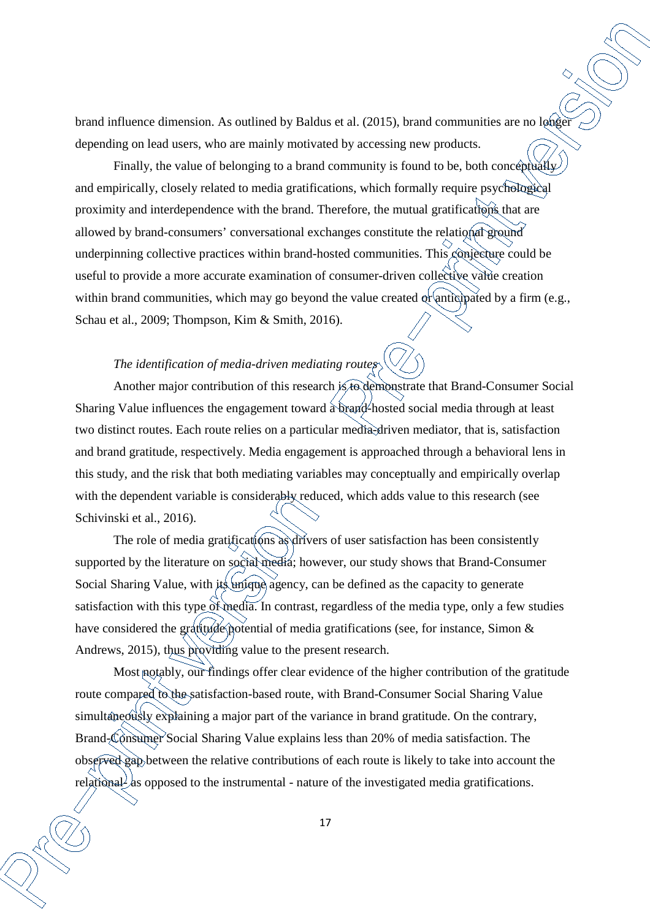brand influence dimension. As outlined by Baldus et al. (2015), brand communities are no longer depending on lead users, who are mainly motivated by accessing new products.

Finally, the value of belonging to a brand community is found to be, both conceptually and empirically, closely related to media gratifications, which formally require psychological proximity and interdependence with the brand. Therefore, the mutual gratifications that are allowed by brand-consumers' conversational exchanges constitute the relational ground underpinning collective practices within brand-hosted communities. This conjecture could be useful to provide a more accurate examination of consumer-driven collective value creation within brand communities, which may go beyond the value created or anticipated by a firm (e.g., Schau et al., 2009; Thompson, Kim & Smith, 2016).

## *The identification of media-driven mediating routes*

Another major contribution of this research is to demonstrate that Brand-Consumer Social Sharing Value influences the engagement toward a brand-hosted social media through at least two distinct routes. Each route relies on a particular media-driven mediator, that is, satisfaction and brand gratitude, respectively. Media engagement is approached through a behavioral lens in this study, and the risk that both mediating variables may conceptually and empirically overlap with the dependent variable is considerably reduced, which adds value to this research (see Schivinski et al., 2016).

The role of media gratifications as drivers of user satisfaction has been consistently supported by the literature on social media; however, our study shows that Brand-Consumer Social Sharing Value, with its unique agency, can be defined as the capacity to generate satisfaction with this type of media. In contrast, regardless of the media type, only a few studies have considered the gratitude potential of media gratifications (see, for instance, Simon  $\&$ Andrews, 2015), thus providing value to the present research.

Most notably, our findings offer clear evidence of the higher contribution of the gratitude route compared to the satisfaction-based route, with Brand-Consumer Social Sharing Value simultaneously explaining a major part of the variance in brand gratitude. On the contrary, Brand-Consumer Social Sharing Value explains less than 20% of media satisfaction. The observed gap between the relative contributions of each route is likely to take into account the relational  $\lambda$  as opposed to the instrumental - nature of the investigated media gratifications.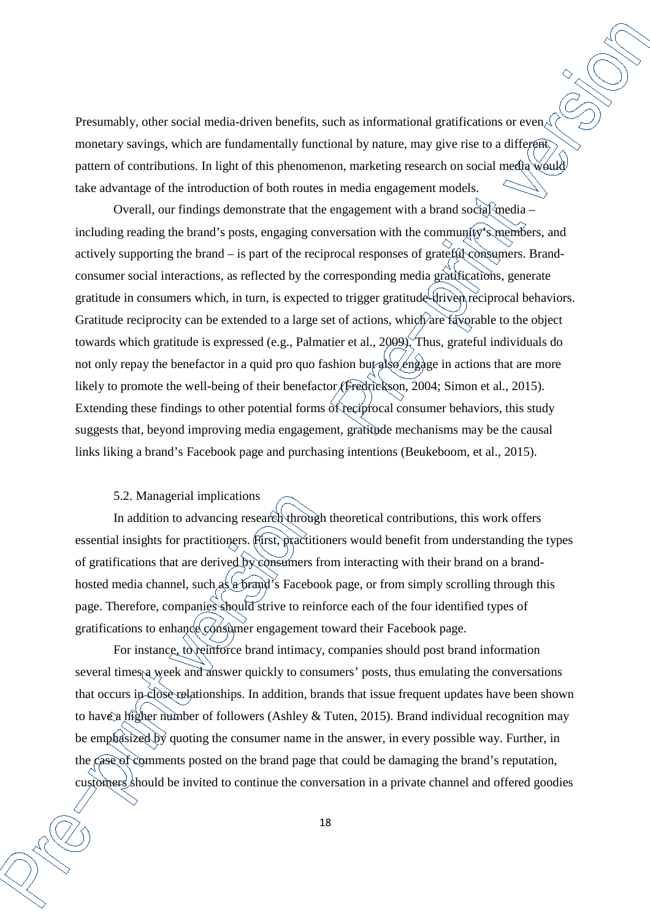Presumably, other social media-driven benefits, such as informational gratifications or even  $\triangle$ monetary savings, which are fundamentally functional by nature, may give rise to a different pattern of contributions. In light of this phenomenon, marketing research on social media would take advantage of the introduction of both routes in media engagement models.

Overall, our findings demonstrate that the engagement with a brand social media – including reading the brand's posts, engaging conversation with the community's members, and actively supporting the brand – is part of the reciprocal responses of grateful consumers. Brandconsumer social interactions, as reflected by the corresponding media gratifications, generate gratitude in consumers which, in turn, is expected to trigger gratitude-driven reciprocal behaviors. Gratitude reciprocity can be extended to a large set of actions, which are favorable to the object towards which gratitude is expressed (e.g., Palmatier et al., 2009). Thus, grateful individuals do not only repay the benefactor in a quid pro quo fashion but also engage in actions that are more likely to promote the well-being of their benefactor (Fredrickson, 2004; Simon et al., 2015). Extending these findings to other potential forms of reciprocal consumer behaviors, this study suggests that, beyond improving media engagement, gratitude mechanisms may be the causal links liking a brand's Facebook page and purchasing intentions (Beukeboom, et al., 2015).

## 5.2. Managerial implications

In addition to advancing research through theoretical contributions, this work offers essential insights for practitioners. First, practitioners would benefit from understanding the types of gratifications that are derived by consumers from interacting with their brand on a brandhosted media channel, such as a brand's Facebook page, or from simply scrolling through this page. Therefore, companies should strive to reinforce each of the four identified types of gratifications to enhance consumer engagement toward their Facebook page.

For instance, to reinforce brand intimacy, companies should post brand information several times a week and answer quickly to consumers' posts, thus emulating the conversations that occurs in close relationships. In addition, brands that issue frequent updates have been shown to have a higher number of followers (Ashley & Tuten, 2015). Brand individual recognition may be emphasized by quoting the consumer name in the answer, in every possible way. Further, in the case of comments posted on the brand page that could be damaging the brand's reputation, customers should be invited to continue the conversation in a private channel and offered goodies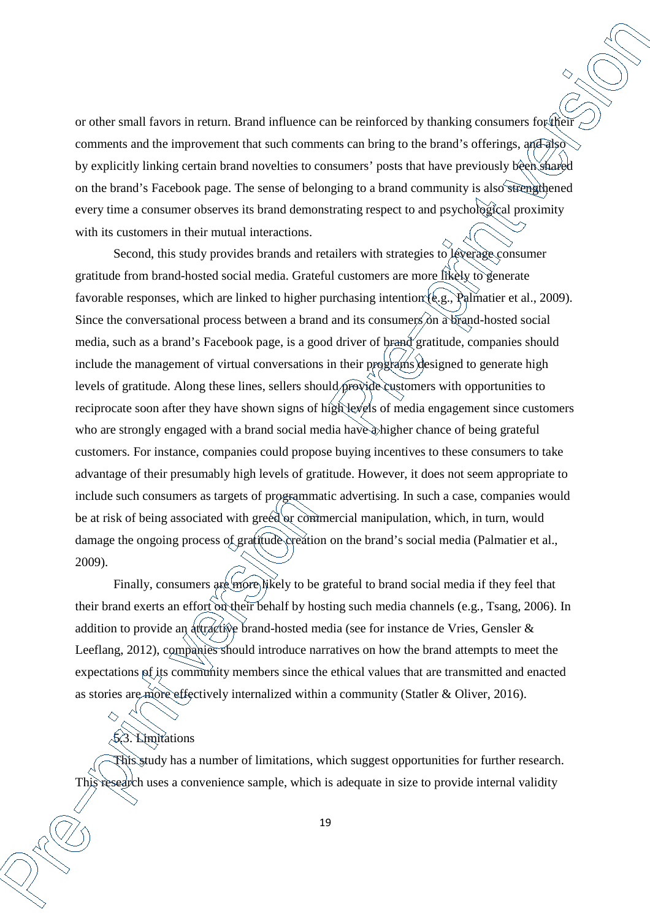or other small favors in return. Brand influence can be reinforced by thanking consumers for their comments and the improvement that such comments can bring to the brand's offerings, and also by explicitly linking certain brand novelties to consumers' posts that have previously been shared on the brand's Facebook page. The sense of belonging to a brand community is also strengthened every time a consumer observes its brand demonstrating respect to and psychological proximity with its customers in their mutual interactions.

Second, this study provides brands and retailers with strategies to leverage consumer gratitude from brand-hosted social media. Grateful customers are more likely to generate favorable responses, which are linked to higher purchasing intention (e.g., Palmatier et al., 2009). Since the conversational process between a brand and its consumers on a brand-hosted social media, such as a brand's Facebook page, is a good driver of brand gratitude, companies should include the management of virtual conversations in their programs designed to generate high levels of gratitude. Along these lines, sellers should provide customers with opportunities to reciprocate soon after they have shown signs of high levels of media engagement since customers who are strongly engaged with a brand social media have a higher chance of being grateful customers. For instance, companies could propose buying incentives to these consumers to take advantage of their presumably high levels of gratitude. However, it does not seem appropriate to include such consumers as targets of programmatic advertising. In such a case, companies would be at risk of being associated with greed or commercial manipulation, which, in turn, would damage the ongoing process of gratitude creation on the brand's social media (Palmatier et al., 2009).

Finally, consumers are more likely to be grateful to brand social media if they feel that their brand exerts an effort on their behalf by hosting such media channels (e.g., Tsang, 2006). In addition to provide an attractive brand-hosted media (see for instance de Vries, Gensler & Leeflang, 2012), companies should introduce narratives on how the brand attempts to meet the expectations of its community members since the ethical values that are transmitted and enacted as stories are more effectively internalized within a community (Statler & Oliver, 2016).

# 5.3. Limitations

 $\curvearrowright$ 

This study has a number of limitations, which suggest opportunities for further research. This research uses a convenience sample, which is adequate in size to provide internal validity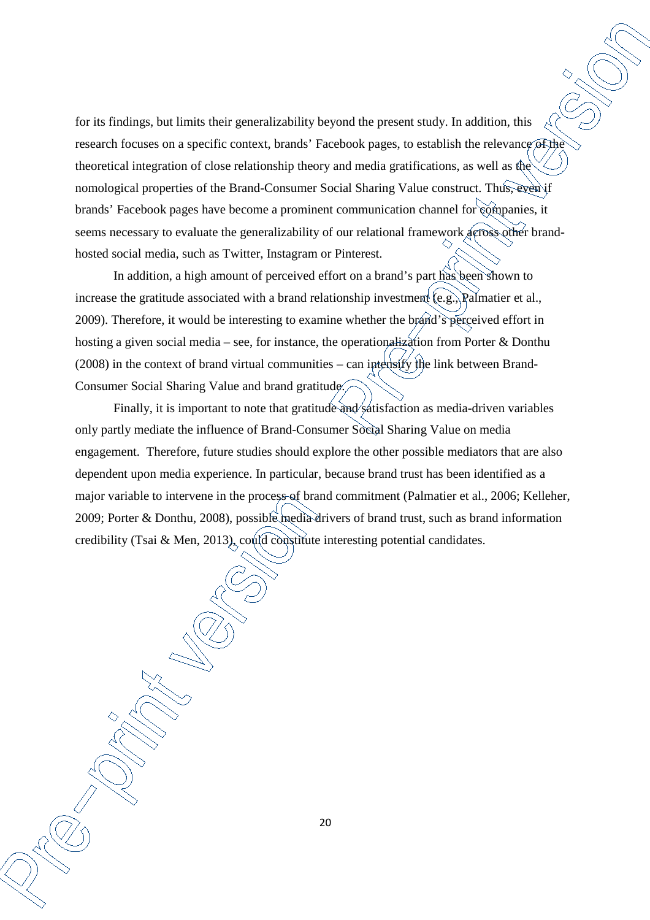for its findings, but limits their generalizability beyond the present study. In addition, this research focuses on a specific context, brands' Facebook pages, to establish the relevance of the theoretical integration of close relationship theory and media gratifications, as well as the nomological properties of the Brand-Consumer Social Sharing Value construct. Thus, even if brands' Facebook pages have become a prominent communication channel for companies, it seems necessary to evaluate the generalizability of our relational framework across other brandhosted social media, such as Twitter, Instagram or Pinterest.

In addition, a high amount of perceived effort on a brand's part has been shown to increase the gratitude associated with a brand relationship investment (e.g., Palmatier et al., 2009). Therefore, it would be interesting to examine whether the brand's perceived effort in hosting a given social media – see, for instance, the operationalization from Porter & Donthu (2008) in the context of brand virtual communities – can intensify the link between Brand-Consumer Social Sharing Value and brand gratitude.

Finally, it is important to note that gratitude and satisfaction as media-driven variables only partly mediate the influence of Brand-Consumer Social Sharing Value on media engagement. Therefore, future studies should explore the other possible mediators that are also dependent upon media experience. In particular, because brand trust has been identified as a major variable to intervene in the process of brand commitment (Palmatier et al., 2006; Kelleher, 2009; Porter & Donthu, 2008), possible media drivers of brand trust, such as brand information credibility (Tsai & Men, 2013), could constitute interesting potential candidates.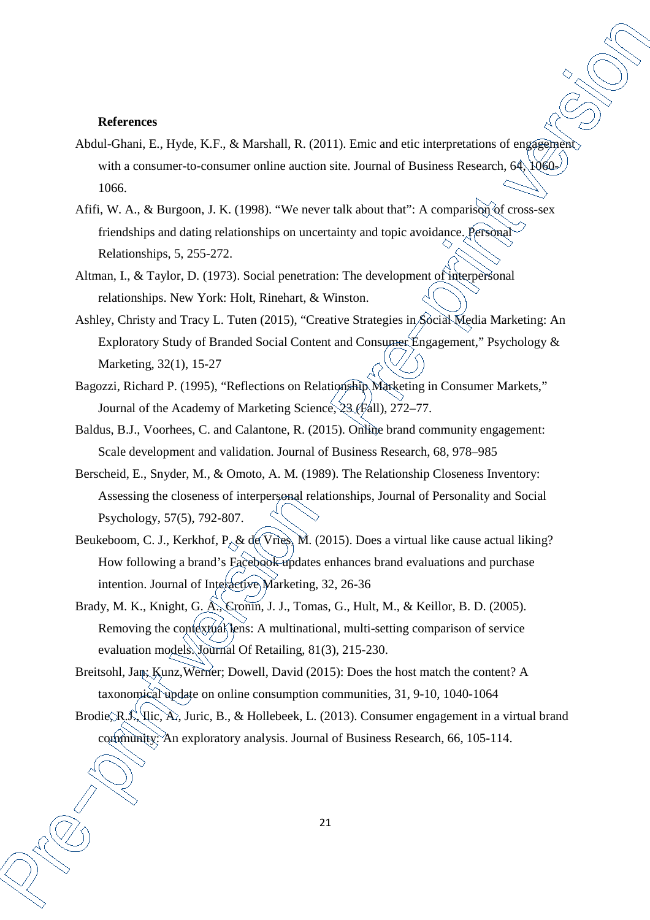#### **References**

- Abdul-Ghani, E., Hyde, K.F., & Marshall, R. (2011). Emic and etic interpretations of engagement with a consumer-to-consumer online auction site. Journal of Business Research,  $64$ ,  $1060$ 1066.
- Afifi, W. A., & Burgoon, J. K. (1998). "We never talk about that": A comparison of cross-sex friendships and dating relationships on uncertainty and topic avoidance. Personal Relationships, 5, 255-272.
- Altman, I., & Taylor, D. (1973). Social penetration: The development of interpersonal relationships. New York: Holt, Rinehart, & Winston.
- Ashley, Christy and Tracy L. Tuten (2015), "Creative Strategies in Social Media Marketing: An Exploratory Study of Branded Social Content and Consumer Engagement," Psychology & Marketing, 32(1), 15-27
- Bagozzi, Richard P. (1995), "Reflections on Relationship Marketing in Consumer Markets," Journal of the Academy of Marketing Science, 23 (Fall), 272–77.
- Baldus, B.J., Voorhees, C. and Calantone, R. (2015). Online brand community engagement: Scale development and validation. Journal of Business Research, 68, 978–985
- Berscheid, E., Snyder, M., & Omoto, A. M. (1989). The Relationship Closeness Inventory: Assessing the closeness of interpersonal relationships, Journal of Personality and Social Psychology, 57(5), 792-807.
- Beukeboom, C. J., Kerkhof, P. & de Vries, M. (2015). Does a virtual like cause actual liking? How following a brand's Facebook updates enhances brand evaluations and purchase intention. Journal of Interactive Marketing, 32, 26-36
- Brady, M. K., Knight, G. A., Cronin, J. J., Tomas, G., Hult, M., & Keillor, B. D. (2005). Removing the contextual lens: A multinational, multi-setting comparison of service evaluation models. Journal Of Retailing, 81(3), 215-230.
- Breitsohl, Jan; Kunz, Werner; Dowell, David (2015): Does the host match the content? A taxonomical update on online consumption communities, 31, 9-10, 1040-1064
- Brodie, R.J., Ilic, A., Juric, B., & Hollebeek, L. (2013). Consumer engagement in a virtual brand community: An exploratory analysis. Journal of Business Research, 66, 105-114.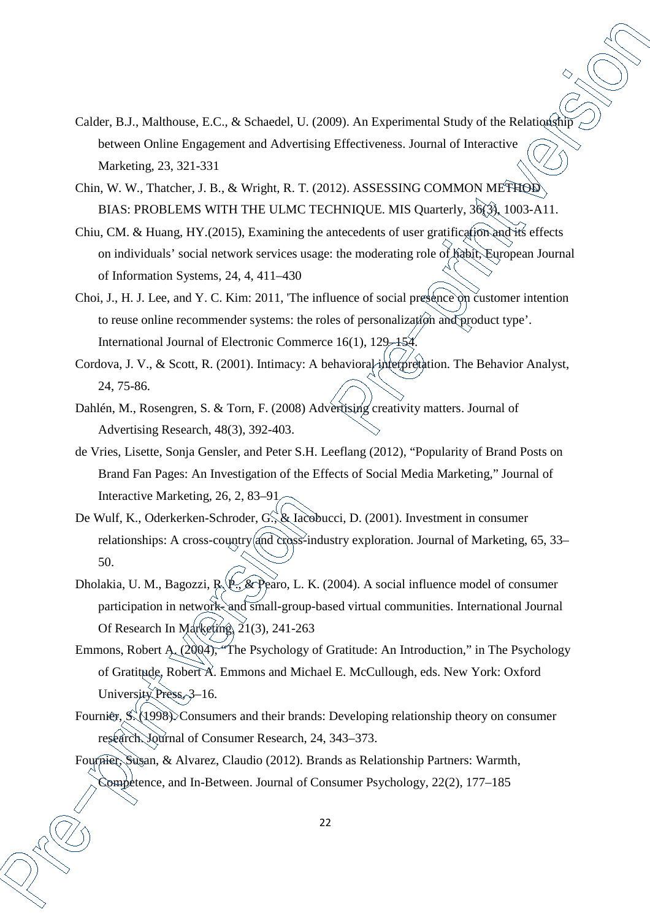- Calder, B.J., Malthouse, E.C., & Schaedel, U. (2009). An Experimental Study of the Relationship between Online Engagement and Advertising Effectiveness. Journal of Interactive Marketing, 23, 321-331
- Chin, W. W., Thatcher, J. B., & Wright, R. T. (2012). ASSESSING COMMON METHOD BIAS: PROBLEMS WITH THE ULMC TECHNIQUE. MIS Quarterly, 36(3), 1003-A11.
- Chiu, CM. & Huang, HY.(2015), Examining the antecedents of user gratification and its effects on individuals' social network services usage: the moderating role of habit, European Journal of Information Systems, 24, 4, 411–430
- Choi, J., H. J. Lee, and Y. C. Kim: 2011, 'The influence of social presence on customer intention to reuse online recommender systems: the roles of personalization and product type'. International Journal of Electronic Commerce 16(1), 129–154.
- Cordova, J. V., & Scott, R. (2001). Intimacy: A behavioral interpretation. The Behavior Analyst, 24, 75-86.
- Dahlén, M., Rosengren, S. & Torn, F. (2008) Advertising creativity matters. Journal of Advertising Research, 48(3), 392-403.
- de Vries, Lisette, Sonja Gensler, and Peter S.H. Leeflang (2012), "Popularity of Brand Posts on Brand Fan Pages: An Investigation of the Effects of Social Media Marketing," Journal of Interactive Marketing, 26, 2, 83–91
- De Wulf, K., Oderkerken-Schroder, G., & Iacobucci, D. (2001). Investment in consumer relationships: A cross-country and cross-industry exploration. Journal of Marketing, 65, 33– 50.
- Dholakia, U. M., Bagozzi, R. P., & Pearo, L. K. (2004). A social influence model of consumer participation in network- and small-group-based virtual communities. International Journal Of Research In Marketing, 21(3), 241-263
- Emmons, Robert A. (2004), "The Psychology of Gratitude: An Introduction," in The Psychology of Gratitude, Robert A. Emmons and Michael E. McCullough, eds. New York: Oxford University Press, 3–16.
- Fournier, S. (1998). Consumers and their brands: Developing relationship theory on consumer research. Journal of Consumer Research, 24, 343–373.
- Fournier, Susan, & Alvarez, Claudio (2012). Brands as Relationship Partners: Warmth, Competence, and In-Between. Journal of Consumer Psychology, 22(2), 177–185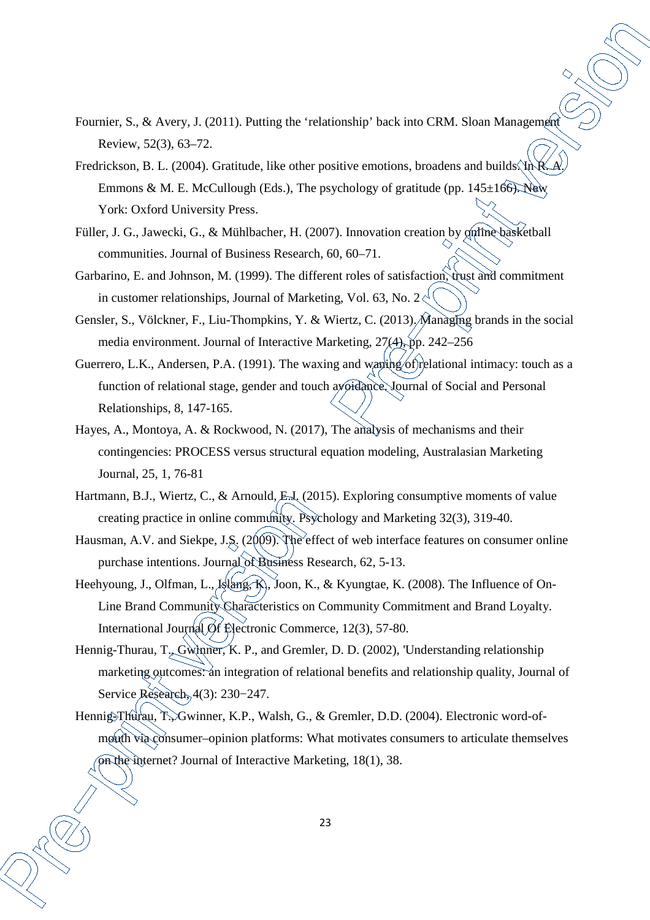- Fournier, S., & Avery, J. (2011). Putting the 'relationship' back into CRM. Sloan Management Review, 52(3), 63–72.
- Fredrickson, B. L. (2004). Gratitude, like other positive emotions, broadens and builds. In Emmons & M. E. McCullough (Eds.), The psychology of gratitude (pp.  $145\pm166$ ). New York: Oxford University Press.
- Füller, J. G., Jawecki, G., & Mühlbacher, H. (2007). Innovation creation by online basketball communities. Journal of Business Research, 60, 60–71.
- Garbarino, E. and Johnson, M. (1999). The different roles of satisfaction, trust and commitment in customer relationships, Journal of Marketing, Vol. 63, No.  $2\zeta$
- Gensler, S., Völckner, F., Liu-Thompkins, Y. & Wiertz, C. (2013). Managing brands in the social media environment. Journal of Interactive Marketing, 27(4), pp. 242–256
- Guerrero, L.K., Andersen, P.A. (1991). The waxing and wanthg of relational intimacy: touch as a function of relational stage, gender and touch avoidance. Journal of Social and Personal Relationships, 8, 147-165.
- Hayes, A., Montoya, A. & Rockwood, N. (2017), The analysis of mechanisms and their contingencies: PROCESS versus structural equation modeling, Australasian Marketing Journal, 25, 1, 76-81
- Hartmann, B.J., Wiertz, C., & Arnould, E.J. (2015). Exploring consumptive moments of value creating practice in online community. Psychology and Marketing 32(3), 319-40.
- Hausman, A.V. and Siekpe, J.S. (2009). The effect of web interface features on consumer online purchase intentions. Journal of Business Research, 62, 5-13.
- Heehyoung, J., Olfman, L., Islang, K., Joon, K., & Kyungtae, K. (2008). The Influence of On-Line Brand Community Characteristics on Community Commitment and Brand Loyalty. International Journal Of Electronic Commerce, 12(3), 57-80.
- Hennig-Thurau, T., Gwinner, K. P., and Gremler, D. D. (2002), 'Understanding relationship marketing outcomes: an integration of relational benefits and relationship quality, Journal of Service Research, 4(3): 230−247.
- Hennig-Thurau, T., Gwinner, K.P., Walsh, G., & Gremler, D.D. (2004). Electronic word-ofmouth via consumer–opinion platforms: What motivates consumers to articulate themselves on the internet? Journal of Interactive Marketing, 18(1), 38.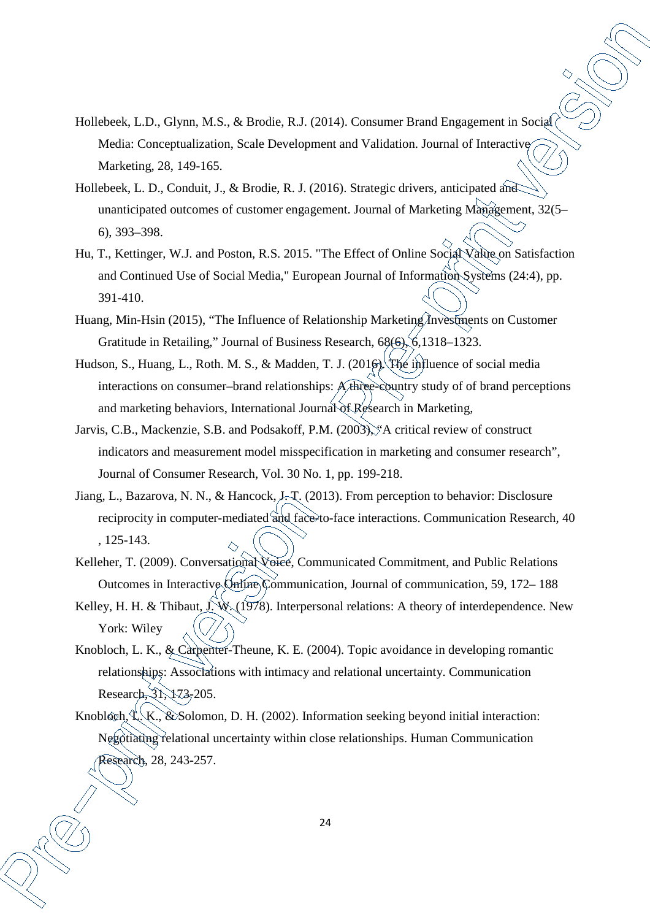- Hollebeek, L.D., Glynn, M.S., & Brodie, R.J. (2014). Consumer Brand Engagement in Social Media: Conceptualization, Scale Development and Validation. Journal of Interactive Marketing, 28, 149-165.
- Hollebeek, L. D., Conduit, J., & Brodie, R. J. (2016). Strategic drivers, anticipated and unanticipated outcomes of customer engagement. Journal of Marketing Management, 32(5– 6), 393–398.
- Hu, T., Kettinger, W.J. and Poston, R.S. 2015. "The Effect of Online Social Value on Satisfaction and Continued Use of Social Media," European Journal of Information Systems (24:4), pp. 391-410.
- Huang, Min-Hsin (2015), "The Influence of Relationship Marketing Investments on Customer Gratitude in Retailing," Journal of Business Research, 68(6), 6,1318–1323.
- Hudson, S., Huang, L., Roth. M. S., & Madden, T. J. (2016). The influence of social media interactions on consumer–brand relationships: A three-country study of of brand perceptions and marketing behaviors, International Journal of Research in Marketing,
- Jarvis, C.B., Mackenzie, S.B. and Podsakoff, P.M. (2003), "A critical review of construct indicators and measurement model misspecification in marketing and consumer research", Journal of Consumer Research, Vol. 30 No. 1, pp. 199-218.
- Jiang, L., Bazarova, N. N., & Hancock, J.-T. (2013). From perception to behavior: Disclosure reciprocity in computer-mediated and face-to-face interactions. Communication Research, 40 , 125-143.
- Kelleher, T. (2009). Conversational Voice, Communicated Commitment, and Public Relations Outcomes in Interactive Online Communication, Journal of communication, 59, 172– 188
- Kelley, H. H. & Thibaut,  $J(W)(1978)$ . Interpersonal relations: A theory of interdependence. New York: Wiley
- Knobloch, L. K., & Carpenter-Theune, K. E. (2004). Topic avoidance in developing romantic relationships: Associations with intimacy and relational uncertainty. Communication Research, 31, 173-205.
- Knobloch,  $\mathcal{L}\setminus K$ ., & Solomon, D. H. (2002). Information seeking beyond initial interaction: Negotiating relational uncertainty within close relationships. Human Communication Research, 28, 243-257.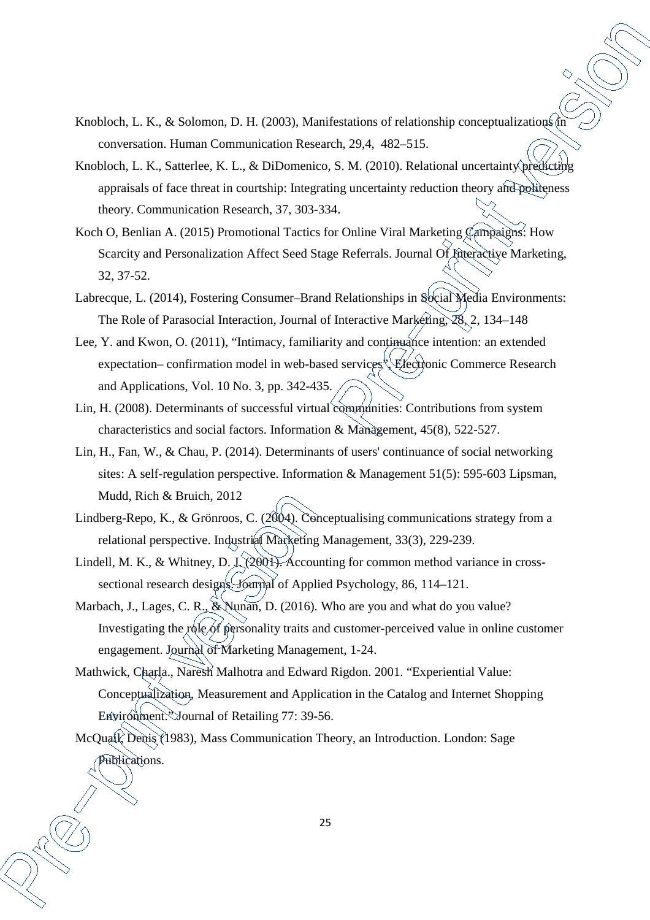- Knobloch, L. K., & Solomon, D. H. (2003), Manifestations of relationship conceptualizations in conversation. Human Communication Research, 29,4, 482–515.
- Knobloch, L. K., Satterlee, K. L., & DiDomenico, S. M. (2010). Relational uncertainty predicting appraisals of face threat in courtship: Integrating uncertainty reduction theory and politeness theory. Communication Research, 37, 303-334.
- Koch O, Benlian A. (2015) Promotional Tactics for Online Viral Marketing Campaigns: How Scarcity and Personalization Affect Seed Stage Referrals. Journal Of Interactive Marketing, 32, 37-52.
- Labrecque, L. (2014), Fostering Consumer-Brand Relationships in Social Media Environments: The Role of Parasocial Interaction, Journal of Interactive Marketing, 28, 2, 134–148
- Lee, Y. and Kwon, O. (2011), "Intimacy, familiarity and continuance intention: an extended expectation– confirmation model in web-based services<sup>{{</sup>\{\mathemationic Commerce Research and Applications, Vol. 10 No. 3, pp. 342-435.
- Lin, H. (2008). Determinants of successful virtual communities: Contributions from system characteristics and social factors. Information & Management, 45(8), 522-527.
- Lin, H., Fan, W., & Chau, P. (2014). Determinants of users' continuance of social networking sites: A self-regulation perspective. Information & Management 51(5): 595-603 Lipsman, Mudd, Rich & Bruich, 2012
- Lindberg-Repo, K., & Grönroos, C. (2004). Conceptualising communications strategy from a relational perspective. Industrial Marketing Management, 33(3), 229-239.
- Lindell, M. K., & Whitney, D. J. (2001). Accounting for common method variance in crosssectional research designs. Journal of Applied Psychology, 86, 114–121.
- Marbach, J., Lages, C. R., & Nunan, D. (2016). Who are you and what do you value? Investigating the role of personality traits and customer-perceived value in online customer engagement. Journal of Marketing Management, 1-24.
- Mathwick, Charla., Naresh Malhotra and Edward Rigdon. 2001. "Experiential Value: Conceptualization, Measurement and Application in the Catalog and Internet Shopping Environment. Journal of Retailing 77: 39-56.

McQuail, Denis (1983), Mass Communication Theory, an Introduction. London: Sage Publications.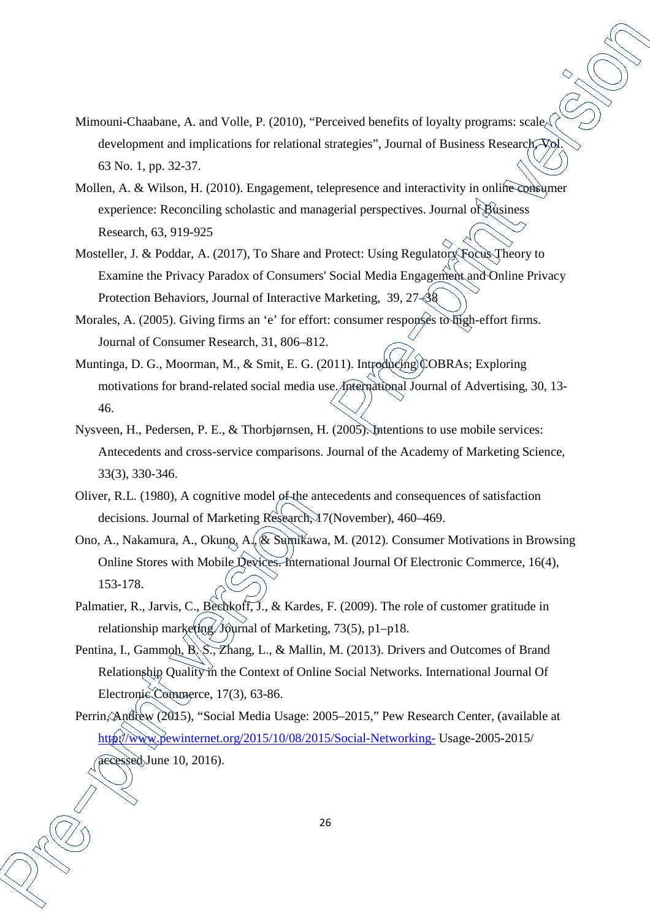- Mimouni-Chaabane, A. and Volle, P. (2010), "Perceived benefits of loyalty programs: scale development and implications for relational strategies", Journal of Business Research, 63 No. 1, pp. 32-37.
- Mollen, A. & Wilson, H. (2010). Engagement, telepresence and interactivity in online consumer experience: Reconciling scholastic and managerial perspectives. Journal of Business Research, 63, 919-925
- Mosteller, J. & Poddar, A. (2017), To Share and Protect: Using Regulatory Focus Theory to Examine the Privacy Paradox of Consumers' Social Media Engagement and Online Privacy Protection Behaviors, Journal of Interactive Marketing, 39, 27–38
- Morales, A. (2005). Giving firms an 'e' for effort: consumer responses to high-effort firms. Journal of Consumer Research, 31, 806–812.
- Muntinga, D. G., Moorman, M., & Smit, E. G. (2011). Introducing COBRAs; Exploring motivations for brand-related social media use. International Journal of Advertising, 30, 13- 46.
- Nysveen, H., Pedersen, P. E., & Thorbjørnsen, H. (2005). Intentions to use mobile services: Antecedents and cross-service comparisons. Journal of the Academy of Marketing Science, 33(3), 330-346.
- Oliver, R.L. (1980), A cognitive model of the antecedents and consequences of satisfaction decisions. Journal of Marketing Research, 17(November), 460–469.
- Ono, A., Nakamura, A., Okuno, A., & Sumikawa, M. (2012). Consumer Motivations in Browsing Online Stores with Mobile Devices. International Journal Of Electronic Commerce, 16(4), 153-178.
- Palmatier, R., Jarvis, C., Bechkoff, J., & Kardes, F. (2009). The role of customer gratitude in relationship marketing. Journal of Marketing, 73(5), p1-p18.
- Pentina, I., Gammoh, B. S., Zhang, L., & Mallin, M. (2013). Drivers and Outcomes of Brand Relationship Quality in the Context of Online Social Networks. International Journal Of Electronic Commerce, 17(3), 63-86.
- Perrin, Andrew (2015), "Social Media Usage: 2005–2015," Pew Research Center, (available at http://www.pewinternet.org/2015/10/08/2015/Social-Networking- Usage-2005-2015/ accessed June 10, 2016).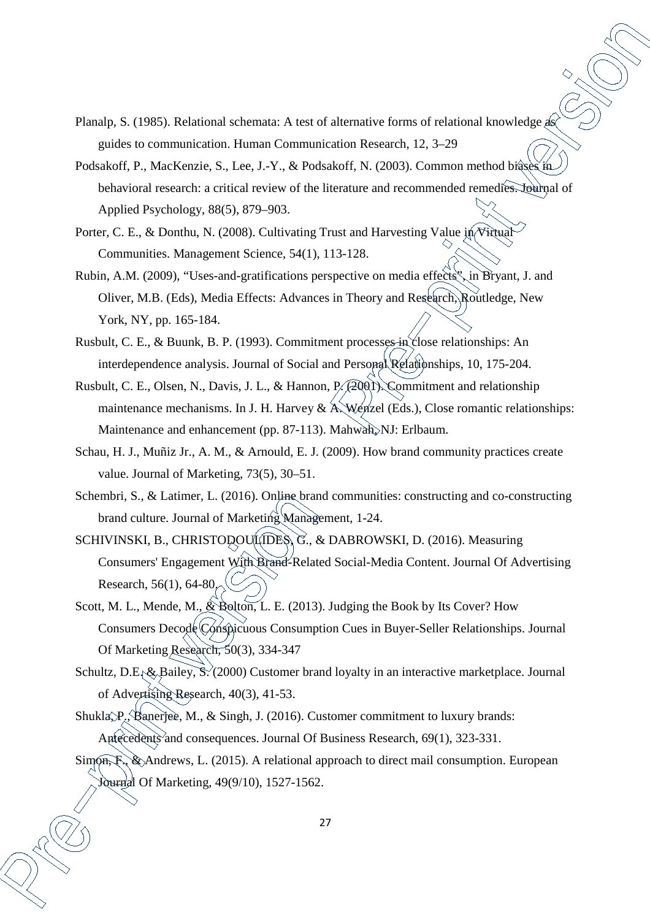- Planalp, S. (1985). Relational schemata: A test of alternative forms of relational knowledge as guides to communication. Human Communication Research, 12, 3–29
- Podsakoff, P., MacKenzie, S., Lee, J.-Y., & Podsakoff, N. (2003). Common method biases in behavioral research: a critical review of the literature and recommended remedies. Journal of Applied Psychology, 88(5), 879–903.
- Porter, C. E., & Donthu, N. (2008). Cultivating Trust and Harvesting Value in Virtual Communities. Management Science, 54(1), 113-128.
- Rubin, A.M. (2009), "Uses-and-gratifications perspective on media effects", in Bryant, J. and Oliver, M.B. (Eds), Media Effects: Advances in Theory and Research, Routledge, New York, NY, pp. 165-184.
- Rusbult, C. E., & Buunk, B. P. (1993). Commitment processes in close relationships: An interdependence analysis. Journal of Social and Personal Relationships, 10, 175-204.
- Rusbult, C. E., Olsen, N., Davis, J. L., & Hannon, P. (2001). Commitment and relationship maintenance mechanisms. In J. H. Harvey & A. Wenzel (Eds.), Close romantic relationships: Maintenance and enhancement (pp. 87-113). Mahwah, NJ: Erlbaum.
- Schau, H. J., Muñiz Jr., A. M., & Arnould, E. J. (2009). How brand community practices create value. Journal of Marketing, 73(5), 30–51.
- Schembri, S., & Latimer, L. (2016). Online brand communities: constructing and co-constructing brand culture. Journal of Marketing Management, 1-24.
- SCHIVINSKI, B., CHRISTODOULIDES, G., & DABROWSKI, D. (2016). Measuring Consumers' Engagement With Brand-Related Social-Media Content. Journal Of Advertising Research, 56(1), 64-80.
- Scott, M. L., Mende, M.,  $\&$  Bolton, L. E. (2013). Judging the Book by Its Cover? How Consumers Decode Conspicuous Consumption Cues in Buyer-Seller Relationships. Journal Of Marketing Research, 50(3), 334-347
- Schultz, D.E. & Bailey, S. (2000) Customer brand loyalty in an interactive marketplace. Journal of Advertising Research, 40(3), 41-53.
- Shukla, P., Banerjee, M., & Singh, J. (2016). Customer commitment to luxury brands: Antecedents and consequences. Journal Of Business Research, 69(1), 323-331.
- Sim<sub>On</sub>, F., & Andrews, L. (2015). A relational approach to direct mail consumption. European Journal Of Marketing, 49(9/10), 1527-1562.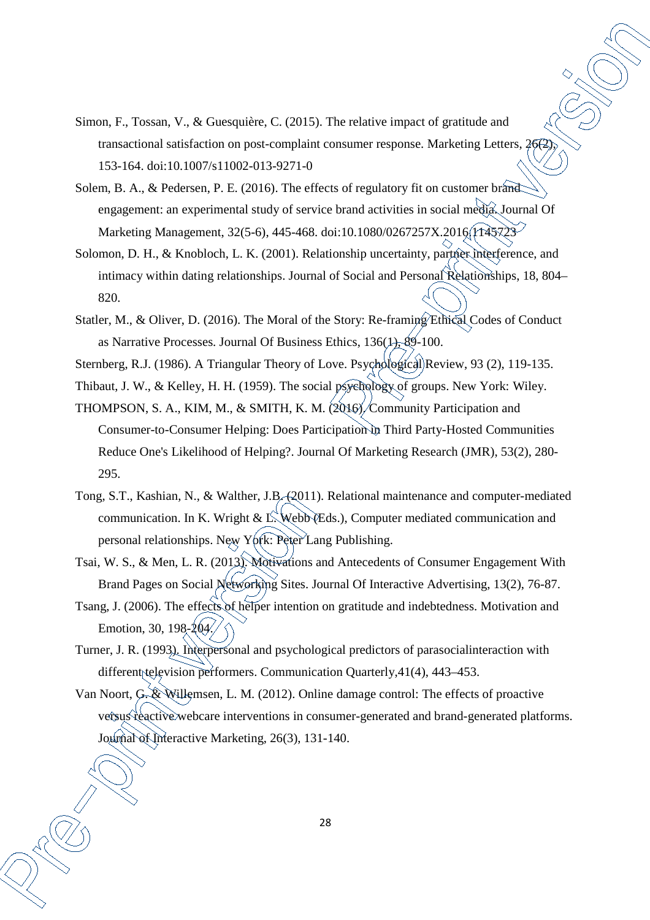- Simon, F., Tossan, V., & Guesquière, C. (2015). The relative impact of gratitude and transactional satisfaction on post-complaint consumer response. Marketing Letters, 26<sup>7</sup>, 153-164. doi:10.1007/s11002-013-9271-0
- Solem, B. A., & Pedersen, P. E. (2016). The effects of regulatory fit on customer brand engagement: an experimental study of service brand activities in social media. Journal Of Marketing Management, 32(5-6), 445-468. doi:10.1080/0267257X.2016. (1445723-
- Solomon, D. H., & Knobloch, L. K. (2001). Relationship uncertainty, partner interference, and intimacy within dating relationships. Journal of Social and Personal Relationships, 18, 804– 820.
- Statler, M., & Oliver, D. (2016). The Moral of the Story: Re-framing Ethical Codes of Conduct as Narrative Processes. Journal Of Business Ethics,  $136(1)$ ,  $89-100$ .
- Sternberg, R.J. (1986). A Triangular Theory of Love. Psychological Review, 93 (2), 119-135.
- Thibaut, J. W., & Kelley, H. H. (1959). The social psychology of groups. New York: Wiley.
- THOMPSON, S. A., KIM, M., & SMITH, K. M. (2016). Community Participation and Consumer-to-Consumer Helping: Does Participation in Third Party-Hosted Communities Reduce One's Likelihood of Helping?. Journal Of Marketing Research (JMR), 53(2), 280- 295.
- Tong, S.T., Kashian, N., & Walther, J.B. (2011). Relational maintenance and computer-mediated communication. In K. Wright & L. Webb (Eds.), Computer mediated communication and personal relationships. New York: Peter Lang Publishing.
- Tsai, W. S., & Men, L. R. (2013). Motivations and Antecedents of Consumer Engagement With Brand Pages on Social Networking Sites. Journal Of Interactive Advertising, 13(2), 76-87.
- Tsang, J. (2006). The effects of helper intention on gratitude and indebtedness. Motivation and Emotion, 30, 198-204.
- Turner, J. R. (1993). Interpersonal and psychological predictors of parasocialinteraction with different television performers. Communication Quarterly, 41(4), 443–453.
- Van Noort, G. & Willemsen, L. M. (2012). Online damage control: The effects of proactive versus reactive webcare interventions in consumer-generated and brand-generated platforms. Journal of Interactive Marketing, 26(3), 131-140.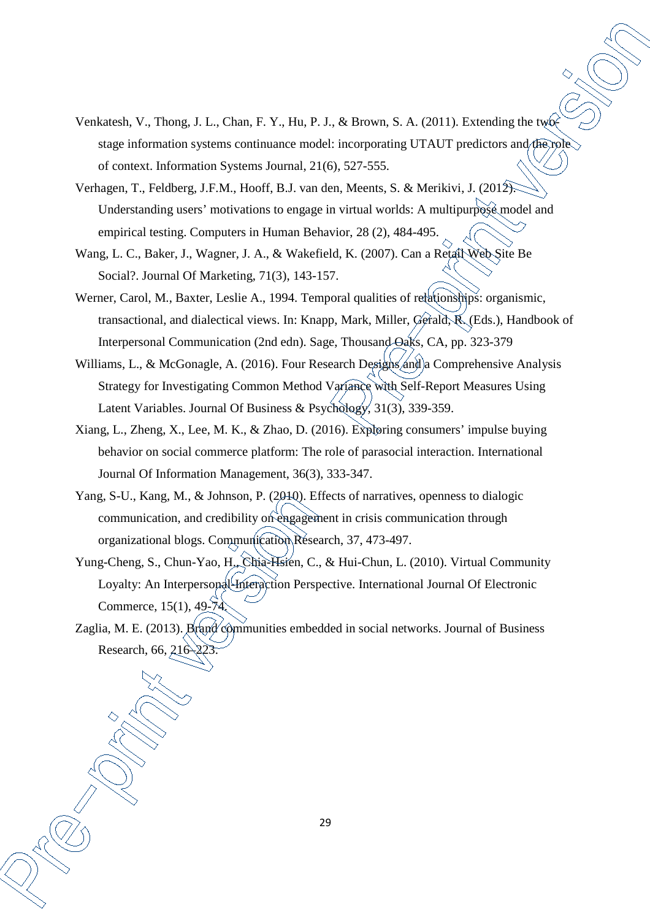- Venkatesh, V., Thong, J. L., Chan, F. Y., Hu, P. J., & Brown, S. A. (2011). Extending the two stage information systems continuance model: incorporating UTAUT predictors and the role of context. Information Systems Journal, 21(6), 527-555.
- Verhagen, T., Feldberg, J.F.M., Hooff, B.J. van den, Meents, S. & Merikivi, J. (2012). Understanding users' motivations to engage in virtual worlds: A multipurpose model and empirical testing. Computers in Human Behavior, 28 (2), 484-495.
- Wang, L. C., Baker, J., Wagner, J. A., & Wakefield, K. (2007). Can a Retail Web Site Be Social?. Journal Of Marketing, 71(3), 143-157.
- Werner, Carol, M., Baxter, Leslie A., 1994. Temporal qualities of relationships: organismic, transactional, and dialectical views. In: Knapp, Mark, Miller, Gerald, R. (Eds.), Handbook of Interpersonal Communication (2nd edn). Sage, Thousand Oaks, CA, pp. 323-379
- Williams, L., & McGonagle, A. (2016). Four Research Designs and a Comprehensive Analysis Strategy for Investigating Common Method Variance with Self-Report Measures Using Latent Variables. Journal Of Business & Psychology, 31(3), 339-359.
- Xiang, L., Zheng, X., Lee, M. K., & Zhao, D. (2016). Exploring consumers' impulse buying behavior on social commerce platform: The role of parasocial interaction. International Journal Of Information Management, 36(3), 333-347.
- Yang, S-U., Kang, M., & Johnson, P. (2010). Effects of narratives, openness to dialogic communication, and credibility on engagement in crisis communication through organizational blogs. Communication Research, 37, 473-497.
- Yung-Cheng, S., Chun-Yao, H., Chia-Hsien, C., & Hui-Chun, L. (2010). Virtual Community Loyalty: An Interpersonal-Interaction Perspective. International Journal Of Electronic Commerce, 15(1), 49-74.
- Zaglia, M. E. (2013). Brand communities embedded in social networks. Journal of Business Research, 66, 216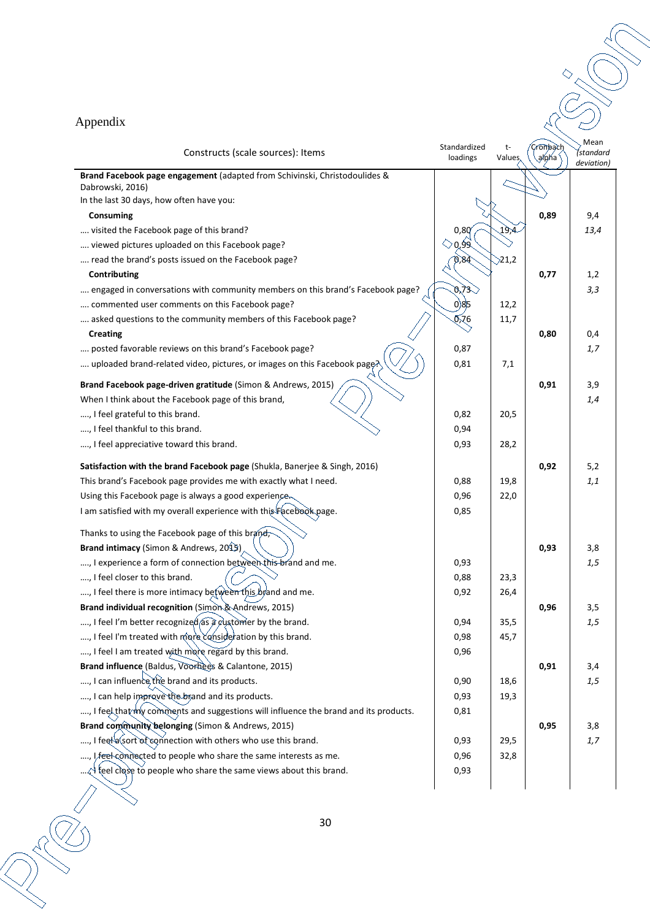# Appendix

| Constructs (scale sources): Items                                                    | Standardized<br>loadings   | t-<br>Values     | <i>.</i><br>Cronbach<br>alpha | Mean<br>Ístandard<br>deviation) |
|--------------------------------------------------------------------------------------|----------------------------|------------------|-------------------------------|---------------------------------|
| Brand Facebook page engagement (adapted from Schivinski, Christodoulides &           |                            |                  |                               |                                 |
| Dabrowski, 2016)                                                                     |                            |                  |                               |                                 |
| In the last 30 days, how often have you:                                             |                            |                  |                               |                                 |
| Consuming                                                                            |                            |                  | 0,89                          | 9,4                             |
| visited the Facebook page of this brand?                                             | 0,80                       | 19,4             |                               | 13,4                            |
| viewed pictures uploaded on this Facebook page?                                      | $\Diamond$ Q 99 $\Diamond$ |                  |                               |                                 |
| read the brand's posts issued on the Facebook page?                                  | 0,84                       | $\geqslant$ 21,2 |                               |                                 |
| Contributing                                                                         |                            |                  | 0,77                          | 1,2                             |
| engaged in conversations with community members on this brand's Facebook page?       | 673                        |                  |                               | 3,3                             |
| commented user comments on this Facebook page?                                       | 0)85                       | 12,2             |                               |                                 |
| asked questions to the community members of this Facebook page?                      | 0,76                       | 11,7             |                               |                                 |
| <b>Creating</b>                                                                      |                            |                  | 0,80                          | 0,4                             |
| posted favorable reviews on this brand's Facebook page?                              | 0,87                       |                  |                               | 1,7                             |
| uploaded brand-related video, pictures, or images on this Facebook page?             | 0,81                       | 7,1              |                               |                                 |
| Brand Facebook page-driven gratitude (Simon & Andrews, 2015)                         |                            |                  | 0,91                          | 3,9                             |
| When I think about the Facebook page of this brand,                                  |                            |                  |                               | 1,4                             |
| , I feel grateful to this brand.                                                     | 0,82                       | 20,5             |                               |                                 |
| , I feel thankful to this brand.                                                     | 0,94                       |                  |                               |                                 |
| , I feel appreciative toward this brand.                                             | 0,93                       | 28,2             |                               |                                 |
| Satisfaction with the brand Facebook page (Shukla, Banerjee & Singh, 2016)           |                            |                  | 0,92                          | 5,2                             |
| This brand's Facebook page provides me with exactly what I need.                     | 0,88                       | 19,8             |                               | 1,1                             |
| Using this Facebook page is always a good experience.                                | 0,96                       | 22,0             |                               |                                 |
| I am satisfied with my overall experience with this Facebook page.                   | 0,85                       |                  |                               |                                 |
| Thanks to using the Facebook page of this brand,                                     |                            |                  |                               |                                 |
| Brand intimacy (Simon & Andrews, 2015)                                               |                            |                  | 0,93                          | 3,8                             |
| , I experience a form of connection between this brand and me.                       | 0,93                       |                  |                               | 1,5                             |
| , I feel closer to this brand.                                                       | 0,88                       | 23,3             |                               |                                 |
| , I feel there is more intimacy between this brand and me.                           | 0,92                       | 26,4             |                               |                                 |
| Brand individual recognition (Simon & Andrews, 2015)                                 |                            |                  | 0,96                          | 3,5                             |
| , I feel I'm better recognized as a customer by the brand.                           | 0,94                       | 35,5             |                               | 1,5                             |
| , I feel I'm treated with more consideration by this brand.                          | 0,98                       | 45,7             |                               |                                 |
| , I feel I am treated with more regard by this brand.                                | 0,96                       |                  |                               |                                 |
| Brand influence (Baldus, Voorhees & Calantone, 2015)                                 |                            |                  | 0,91                          | 3,4                             |
| , I can influence the brand and its products.                                        | 0,90                       | 18,6             |                               | 1,5                             |
| , I can help improve the brand and its products.                                     | 0,93                       | 19,3             |                               |                                 |
| , I feel that my comments and suggestions will influence the brand and its products. | 0,81                       |                  |                               |                                 |
| Brand community belonging (Simon & Andrews, 2015)                                    |                            |                  | 0,95                          | 3,8                             |
| , I feet a sort of connection with others who use this brand.                        | 0,93                       | 29,5             |                               | 1,7                             |
| , I feel connected to people who share the same interests as me.                     | 0,96                       | 32,8             |                               |                                 |
| $\chi$ feel close to people who share the same views about this brand.               | 0,93                       |                  |                               |                                 |
| $^{\prime}$ $\rightarrow$                                                            |                            |                  |                               |                                 |

 $\mathord{\vartriangle}^{\mathord{\vartriangle}}$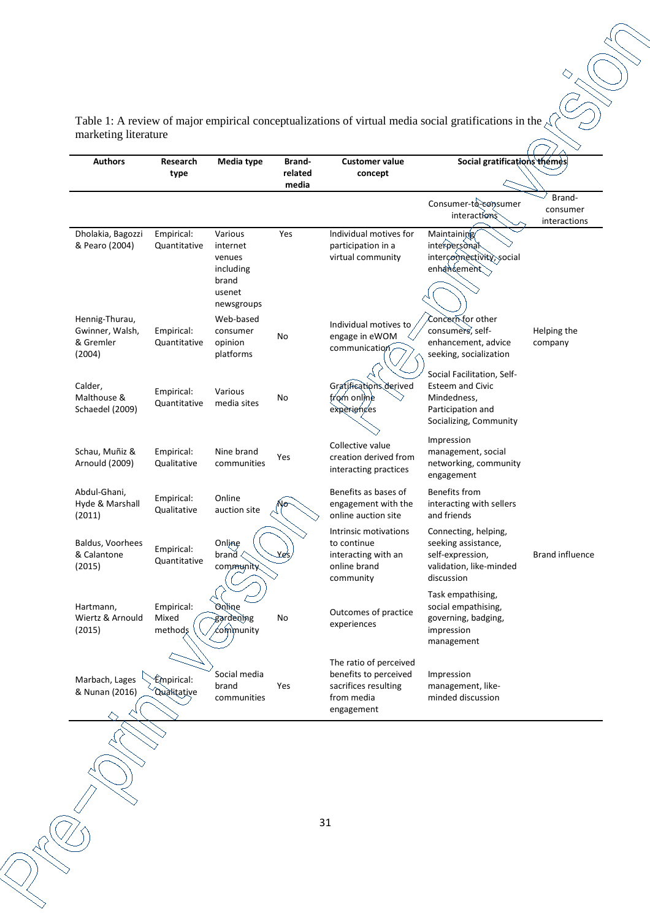Table 1: A review of major empirical conceptualizations of virtual media social gratifications in the  $\zeta$ marketing literature

| <b>Authors</b>                                           | Research                       | Media type                                                                  |                  | <b>Customer value</b>                                                                               | Social gratifications themes                                                                                        |                                    |  |  |
|----------------------------------------------------------|--------------------------------|-----------------------------------------------------------------------------|------------------|-----------------------------------------------------------------------------------------------------|---------------------------------------------------------------------------------------------------------------------|------------------------------------|--|--|
|                                                          | type                           |                                                                             | related<br>media | concept                                                                                             |                                                                                                                     |                                    |  |  |
|                                                          |                                |                                                                             |                  |                                                                                                     | Consumer-to-consumer<br>interactions                                                                                | Brand-<br>consumer<br>interactions |  |  |
| Dholakia, Bagozzi<br>& Pearo (2004)                      | Empirical:<br>Quantitative     | Various<br>internet<br>venues<br>including<br>brand<br>usenet<br>newsgroups | Yes              | Individual motives for<br>participation in a<br>virtual community                                   | Maintaining<br>interpersonal<br>interconnectivity, social<br>enhancement                                            |                                    |  |  |
| Hennig-Thurau,<br>Gwinner, Walsh,<br>& Gremler<br>(2004) | Empirical:<br>Quantitative     | Web-based<br>consumer<br>opinion<br>platforms                               | No               | Individual motives to<br>engage in eWOM<br>communication                                            | Concern for other<br>consumers, self-<br>enhancement, advice<br>seeking, socialization                              | Helping the<br>company             |  |  |
| Calder,<br>Malthouse &<br>Schaedel (2009)                | Empirical:<br>Quantitative     | Various<br>media sites                                                      | No               | Gratifications derived<br>trom online<br>experiences                                                | Social Facilitation, Self-<br><b>Esteem and Civic</b><br>Mindedness,<br>Participation and<br>Socializing, Community |                                    |  |  |
| Schau, Muñiz &<br>Arnould (2009)                         | Empirical:<br>Qualitative      | Nine brand<br>communities                                                   | Yes              | Collective value<br>creation derived from<br>interacting practices                                  | Impression<br>management, social<br>networking, community<br>engagement                                             |                                    |  |  |
| Abdul-Ghani,<br>Hyde & Marshall<br>(2011)                | Empirical:<br>Qualitative      | Online<br>auction site                                                      | ٧σ               | Benefits as bases of<br>engagement with the<br>online auction site                                  | Benefits from<br>interacting with sellers<br>and friends                                                            |                                    |  |  |
| Baldus, Voorhees<br>& Calantone<br>(2015)                | Empirical:<br>Quantitative     | Online<br>brand<br>community                                                | Yes              | Intrinsic motivations<br>to continue<br>interacting with an<br>online brand<br>community            | Connecting, helping,<br>seeking assistance,<br>self-expression,<br>validation, like-minded<br>discussion            | <b>Brand influence</b>             |  |  |
| Hartmann,<br>Wiertz & Arnould<br>(2015)                  | Empirical:<br>Mixed<br>methods | <b>Bailting</b><br>gardening<br>community                                   | No               | Outcomes of practice<br>experiences                                                                 | Task empathising,<br>social empathising,<br>governing, badging,<br>impression<br>management                         |                                    |  |  |
| Marbach, Lages<br>& Nunan (2016)                         | Empirical:<br>Qualitative      | Social media<br>brand<br>communities                                        | Yes              | The ratio of perceived<br>benefits to perceived<br>sacrifices resulting<br>from media<br>engagement | Impression<br>management, like-<br>minded discussion                                                                |                                    |  |  |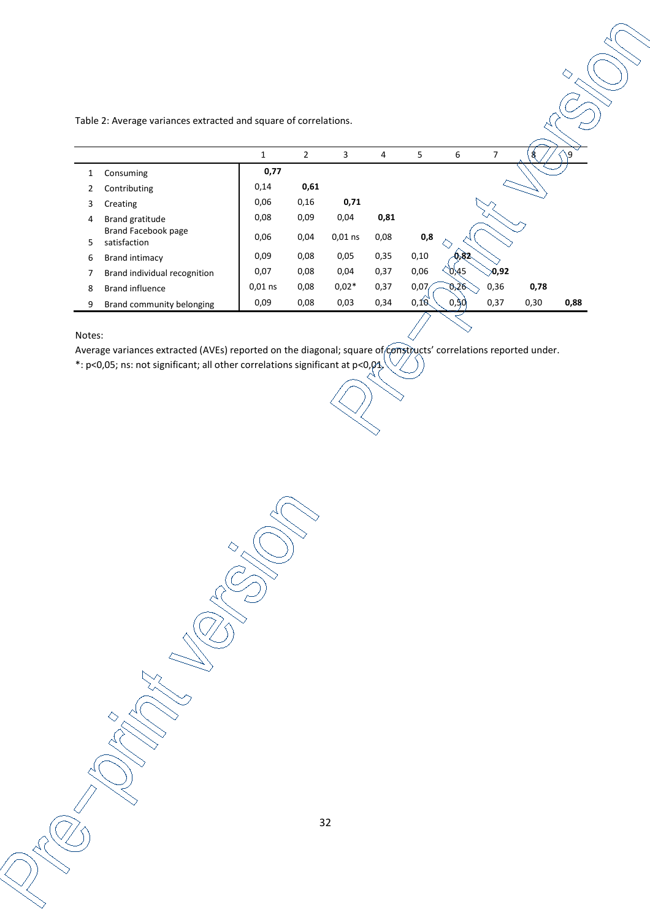Table 2: Average variances extracted and square of correlations.

|        |                                     | 1         | 2    | 3         | 4    | 5    | 6          | 7           | 8    | ۹١   |
|--------|-------------------------------------|-----------|------|-----------|------|------|------------|-------------|------|------|
| 1      | Consuming                           | 0,77      |      |           |      |      |            |             |      |      |
| 2      | Contributing                        | 0,14      | 0,61 |           |      |      |            |             |      |      |
| 3      | Creating                            | 0,06      | 0,16 | 0,71      |      |      |            |             |      |      |
| 4      | Brand gratitude                     | 0,08      | 0,09 | 0,04      | 0,81 |      |            |             |      |      |
| 5      | Brand Facebook page<br>satisfaction | 0,06      | 0,04 | $0,01$ ns | 0,08 | 0,8  |            |             |      |      |
| 6      | Brand intimacy                      | 0,09      | 0,08 | 0,05      | 0,35 | 0,10 | 0.82       |             |      |      |
| 7      | Brand individual recognition        | 0,07      | 0,08 | 0,04      | 0,37 | 0,06 | 0,45       | $\geq 0.92$ |      |      |
| 8      | Brand influence                     | $0.01$ ns | 0,08 | $0,02*$   | 0,37 | 0,07 | <u>ዑንም</u> | 0,36        | 0,78 |      |
| 9      | Brand community belonging           | 0,09      | 0,08 | 0,03      | 0,34 | 0,10 | 0,50       | 0,37        | 0,30 | 0,88 |
| Notes: |                                     |           |      |           |      |      |            |             |      |      |

#### Notes:

Average variances extracted (AVEs) reported on the diagonal; square of constructs' correlations reported under.

\*: p<0,05; ns: not significant; all other correlations significant at p<0,01.

32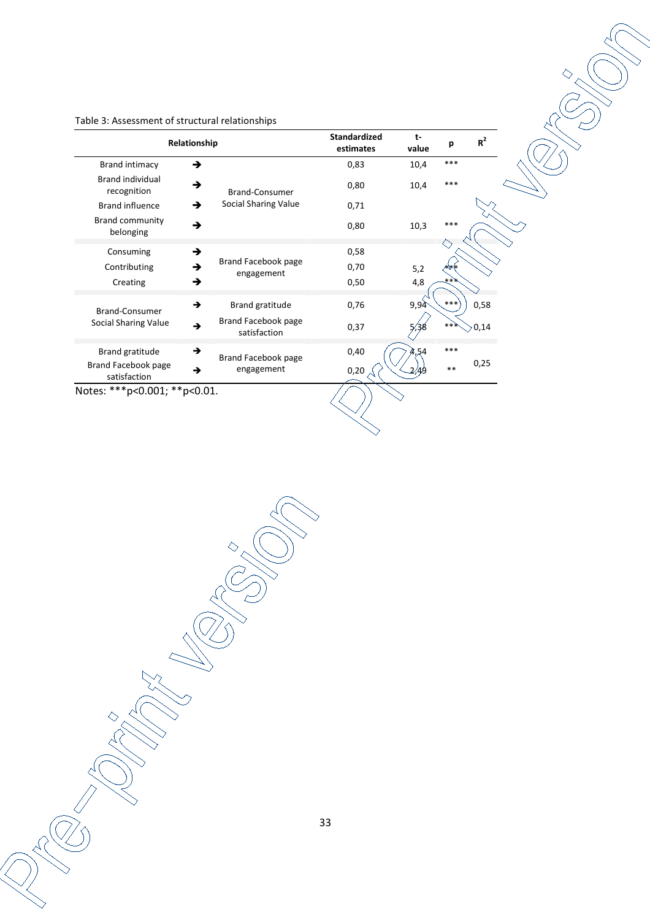| Relationship                           | <b>Standardized</b><br>estimates         | t-<br>value | р    | $R^2$ |      |
|----------------------------------------|------------------------------------------|-------------|------|-------|------|
| <b>Brand intimacy</b>                  | →                                        | 0,83        | 10,4 | ***   |      |
| <b>Brand individual</b><br>recognition | →<br>Brand-Consumer                      | 0,80        | 10,4 | ***   |      |
| <b>Brand influence</b>                 | Social Sharing Value<br>→                | 0,71        |      |       |      |
| <b>Brand community</b><br>belonging    | →                                        | 0,80        | 10,3 | ***   |      |
| Consuming                              | →                                        | 0,58        |      |       |      |
| Contributing                           | Brand Facebook page<br>→<br>engagement   | 0,70        | 5,2  |       |      |
| Creating                               | →                                        | 0,50        | 4,8  | ∗∗`   |      |
| Brand-Consumer                         | →<br>Brand gratitude                     | 0,76        | 9,94 | $***$ | 0,58 |
| Social Sharing Value                   | Brand Facebook page<br>→<br>satisfaction | 0,37        |      | $**$  | 0,14 |
| Brand gratitude                        | →                                        | 0,40        | 4.54 | ***   |      |
| Brand Facebook page<br>satisfaction    | Brand Facebook page<br>engagement<br>→   | 0,20        | 2,49 | $**$  | 0,25 |

Table 3: Assessment of structural relationships

Notes: \*\*\*p<0.001; \*\*p<0.01.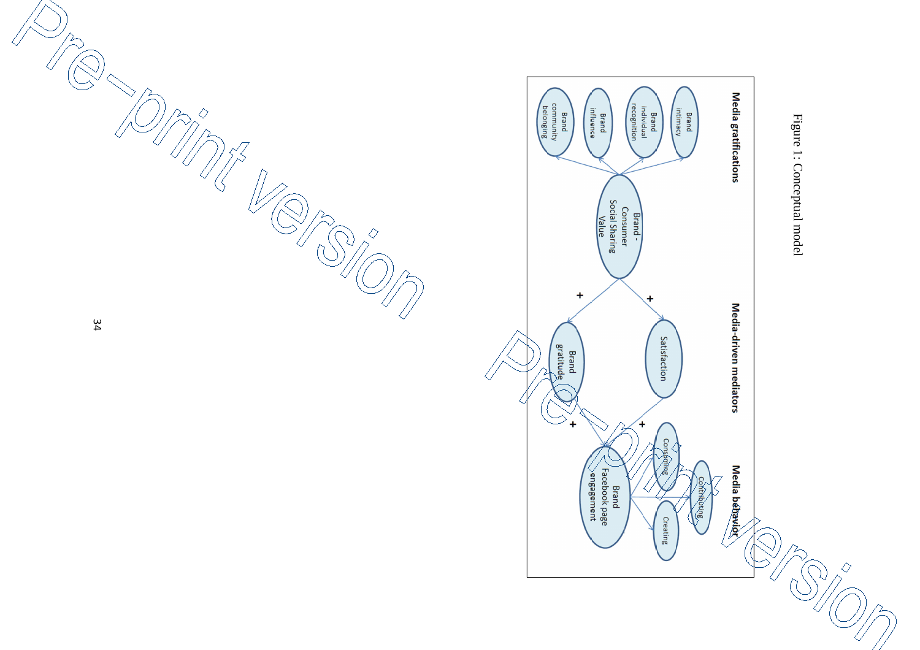